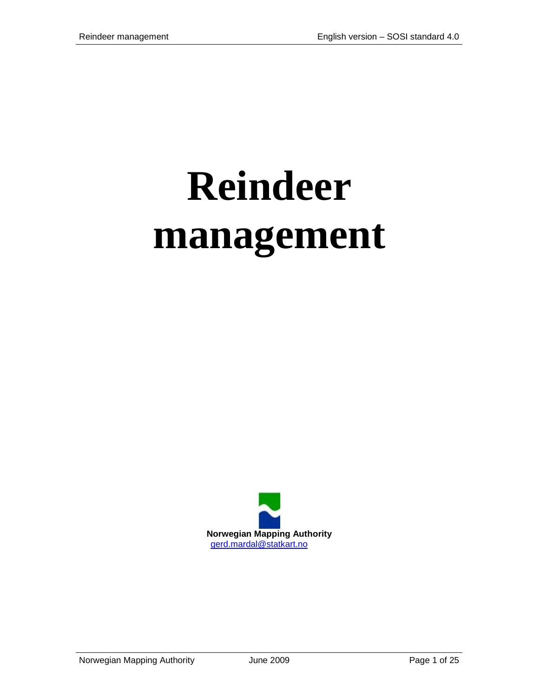# **Reindeer management**

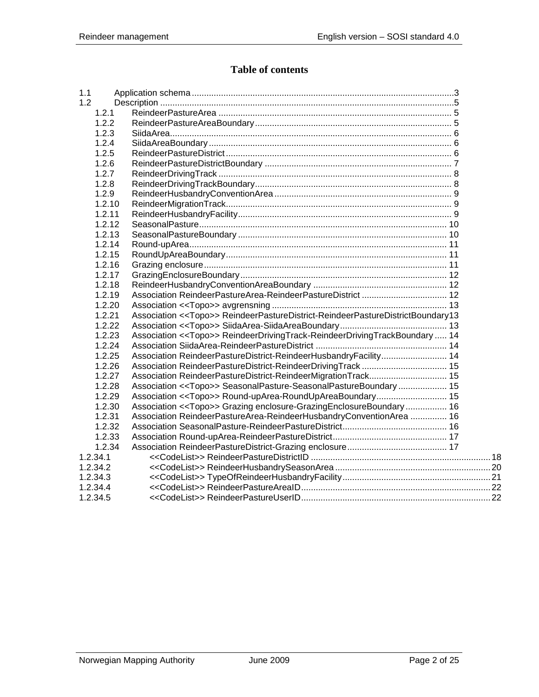# **Table of contents**

| 1.1 |          |                                                                                           |  |
|-----|----------|-------------------------------------------------------------------------------------------|--|
| 1.2 |          |                                                                                           |  |
|     | 1.2.1    |                                                                                           |  |
|     | 1.2.2    |                                                                                           |  |
|     | 1.2.3    |                                                                                           |  |
|     | 1.2.4    |                                                                                           |  |
|     | 1.2.5    |                                                                                           |  |
|     | 1.2.6    |                                                                                           |  |
|     | 1.2.7    |                                                                                           |  |
|     | 1.2.8    |                                                                                           |  |
|     | 1.2.9    |                                                                                           |  |
|     | 1.2.10   |                                                                                           |  |
|     | 1.2.11   |                                                                                           |  |
|     | 1.2.12   |                                                                                           |  |
|     | 1.2.13   |                                                                                           |  |
|     | 1.2.14   |                                                                                           |  |
|     | 1.2.15   |                                                                                           |  |
|     | 1.2.16   |                                                                                           |  |
|     | 1.2.17   |                                                                                           |  |
|     | 1.2.18   |                                                                                           |  |
|     | 1.2.19   |                                                                                           |  |
|     | 1.2.20   |                                                                                           |  |
|     | 1.2.21   | Association < <topo>&gt; ReindeerPastureDistrict-ReindeerPastureDistrictBoundary13</topo> |  |
|     | 1.2.22   |                                                                                           |  |
|     | 1.2.23   | Association << Topo>> ReindeerDrivingTrack-ReindeerDrivingTrackBoundary  14               |  |
|     | 1.2.24   |                                                                                           |  |
|     | 1.2.25   | Association ReindeerPastureDistrict-ReindeerHusbandryFacility 14                          |  |
|     | 1.2.26   |                                                                                           |  |
|     | 1.2.27   | Association ReindeerPastureDistrict-ReindeerMigrationTrack 15                             |  |
|     | 1.2.28   | Association << Topo>> SeasonalPasture-SeasonalPastureBoundary 15                          |  |
|     | 1.2.29   | Association < <topo>&gt; Round-upArea-RoundUpAreaBoundary 15</topo>                       |  |
|     | 1.2.30   | Association < <topo>&gt; Grazing enclosure-GrazingEnclosureBoundary 16</topo>             |  |
|     | 1.2.31   | Association ReindeerPastureArea-ReindeerHusbandryConventionArea  16                       |  |
|     | 1.2.32   |                                                                                           |  |
|     | 1.2.33   |                                                                                           |  |
|     | 1.2.34   |                                                                                           |  |
|     | 1.2.34.1 |                                                                                           |  |
|     | 1.2.34.2 |                                                                                           |  |
|     | 1.2.34.3 |                                                                                           |  |
|     | 1.2.34.4 |                                                                                           |  |
|     | 1.2.34.5 |                                                                                           |  |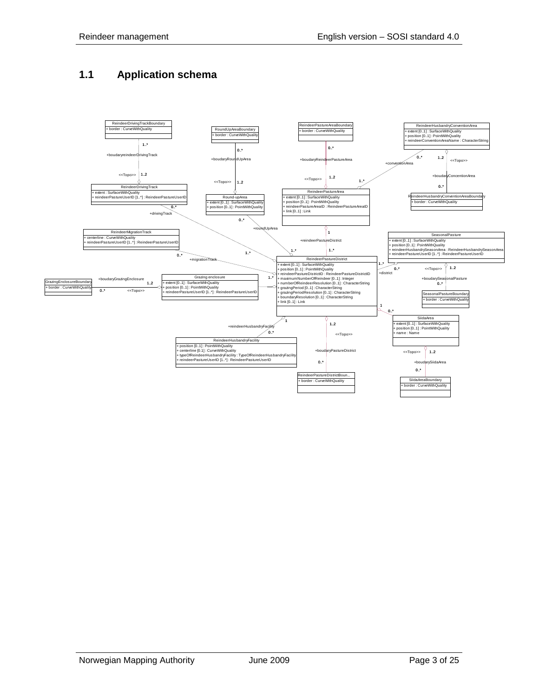# <span id="page-2-0"></span>**1.1 Application schema**

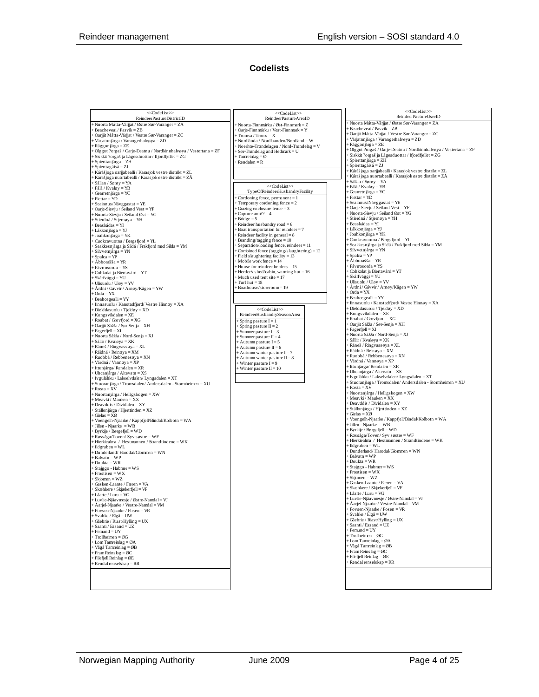#### **Codelists**

| < <codelist>&gt;</codelist>                                                      |
|----------------------------------------------------------------------------------|
| ReindeerPastureDistrictID                                                        |
| + Nuorta Mátta-Várjjat / Østre Sør-Varanger = ZA                                 |
| + Beacheveai / Pasvik = ZB<br>+ Oarjjit Mátta-Várjjat / Vestre Sør-Varanger = ZC |
| + Várjatnnjárga / Varangerhalvøya = ZD                                           |
| + Rággonjárga = ZE                                                               |
| + Olggut ?orgaš / Oarje-Deatnu / Nordkinnhalvøya / Vestertana = ZF               |
| + Siskkit ?orgaš ja Lágesduottar / Ifjordfjellet = ZG<br>+ Spierttanjárga = ZH   |
| + Spierttagáisá = ZJ                                                             |
| + Kárášjoga oarjjabealli / Karasjok vestre distrikt = ZL                         |
| + Kárašjoga nuortabealli / Karasjok østre distrikt = ZÅ                          |
| + Sállan / Sørøy = YA                                                            |
| + Fálá / Kvaløy = YB                                                             |
| + Gearretnjárga = YC<br>+ Fiettar = YD                                           |
| + Seainnus/Návggastat = YE                                                       |
| + Oarje-Sievju / Seiland Vest = YF                                               |
| + Nuorta-Sievju / Seiland Øst = YG                                               |
| + Stierdná / Stjernøya = YH<br>+ Beaskádas = YI                                  |
| + Lákkonjárga = YJ                                                               |
| + Joahkonjárga = YK                                                              |
| + Cuokcavuotna / Bergs fjord = YL                                                |
| + Seakkesnjárga ja Sildá / Frakfjord med Silda = YM                              |
| + Silvvetnjárga = YN                                                             |
| + Spalca = YP<br>+ Abborašša = YR                                                |
| + Fávrrosorda = YS                                                               |
| + Cohkolat ja Biertavárri = YT                                                   |
| + Skárfvággi = YU                                                                |
| + Ulisuolu / Uløy = YV                                                           |
| + Árdni / Gávvir / Arnøy/Kågen = YW<br>$+$ Orda = $YX$                           |
| + Beahcegealli = YY                                                              |
| + Iinnasuolu / Kanstadfjord/ Vestre Hinnøy = XA                                  |
| + Dielddasuolu / Tjeldøy = XD                                                    |
| + Kongs vikdalen = XE                                                            |
| + Roabat / Grovfjord = XG                                                        |
| + Oarjjit Sážža / Sør-Senja = XH<br>+ Fagerfjell = XI                            |
| + Nuorta Sážža / Nord-Senja = XJ                                                 |
| + Sállir / Kvaløya = XK                                                          |
| + Ráneš / Ringvassøya = XL                                                       |
| + Ráidná / Reinøya = XM                                                          |
| + Ruobbá / Rebbenesøya = XN                                                      |
| + Várdná / Vannøya = XP<br>+ Ittunjárga/ Rendalen = XR                           |
| + Uhcanjárga / Altevatn = XS                                                     |
| + Ivguláhku / Lakselvdalen/ Lyngsdalen = XT                                      |
| + Stuoranjárga / Tromsdalen/ Andersdalen - Stormheimen = XU                      |
| + Rosta = XV                                                                     |
| + Nuortanjárga / Helligskogen = XW<br>+ Meavki / Mauken = XX                     |
| + Deavddis / Dividalen = XY                                                      |
| + Stállonjárga / Hjerttinden = XZ                                                |
| + Gielas = XØ                                                                    |
| + Voengelh-Njaarke / Kappfjell/Bindal/Kolbotn = WA                               |
| + Jillen - Njaarke = WB                                                          |
| + Byrkije / Børgefjell = WD<br>+ Røssåga/Toven/ Syv søstre = WF                  |
| + Hierkiealma / Hestmannen / Strandtindene = WK                                  |
| $+$ Ildgruben = WL                                                               |
| + Dunderland/ Harodal/Glommen = WN                                               |
| + Balvatn = WP                                                                   |
| + Doukta = WR<br>+ Stajggo - Habmer = WS                                         |
| + Frostisen = WX                                                                 |
| + Skjomen = WZ                                                                   |
| + Gasken-Laante / Færen = VA                                                     |
| + Skæhkere / Skjækerfjell = VF                                                   |
| + Låarte / Luru = VG<br>+ Luvlie-Njåavmesje / Østre-Namdal = VJ                  |
| + Aarjel-Njaarke / Vestre-Namdal = VM                                            |
| + Fovsen-Njaarke / Fosen = VR                                                    |
| + Svahke / Elgå = UW                                                             |
| + Gåebrie / Riast/Hylling = UX                                                   |
| + Saanti / Essand = UZ<br>+ Femund = UY                                          |
| + Trollheimen = ØG                                                               |
| + Lom Tamreinlag = ØA                                                            |
| + Vågå Tamreinlag = ØB                                                           |
| $+$ Fram Reinslag = ØC                                                           |
| + Filefjell Reinlag = ØE<br>+ Rendal renselskap = RR                             |
|                                                                                  |
|                                                                                  |
|                                                                                  |
|                                                                                  |

ReindeerHusbandrySeasonArea  $+$  Spring pasture  $I = 1$ + Spring pasture II = 2 + Summer pasture I = 3 + Summer pasture II = 4 + Autumn pasture I = 5<br>+ Autumn pasture II = 6<br>+ Autumn winter pasture I = 7<br>+ Autumn winter pasture II = 8<br>+ Winter pasture I = 9<br>+ Winter pasture II = 10 <<CodeList>> TypeOfReindeerHusbandryFacility  $+\overline{\text{Cordoning fence}}, \overline{\text{permand}} = 1$ + Temporary cordoning fence = 2 + Grazing enclosure fence = 3 + Capture arm?? = 4 + Bridge = 5  $\frac{B_1B_2C_1}{B_1B_2C_2C_3D_4} = 6$ + Boat transportation for reindeer = 7 + Reindeer facility in general = 8 + Branding/tagging fence = 10 + Separation/loading fence, reindeer = 11 + Combined fence (tagging/slaughtering) = 12 + Field slaughtering facility = 13  $-M$ obile work fence  $= 14$ + House for reindeer herders = 15 + Herder's shed/cabin, warming hut = 16 + Much used tent site = 17  $-$  Turf hut  $= 18$  $+$  Boathouse/storeroom = 19 <<CodeList>> ReindeerPastureAreaID<br>
+ Nuorta-Finnmárku / Øst-Finnmark = Z<br>
+ Oarje-Finnmárku / Vest-Finnmark = Y<br>
+ Tromsa / Troms = X<br>
+ Nordkinda / Nordlanden/Nordland = W<br>
+ Nordkinda / Nordlanden/Nordland = W<br>
+ Nordlanden / Nordla  $+$  Balvatn = WP

<<CodeList>> ReindeerPastureUserID <<CodeList>>+ Nuorta Mátta-Várjjat / Østre Sør-Varanger = ZA + Beacheveai / Pasvik = ZB + Oarjjit Mátta-Várjjat / Vestre Sør-Varanger = ZC<br>+ Várjatnnjárga / Varangerhalvøya = ZD<br>+ Rággonjárga = ZE<br>+ Rággonjárga = ZE<br>+ Sigkki ?orgaš / Oarje-Deatnu / Nordkinnhalvøya / Vestertana = ZF<br>+ Sigkkit ?orgaš ja Lágesdu + Spiertugáisá $=2I$ <br>
+ Kárášjoga o<br/>arjjabealli / Karasjok vestre distrikt $=Z\bar{A}$ + Kárášjoga nuot<br/>rabealli / Karasjok østre distrikt $=Z\bar{A}$ + Sállan / Sørøy <br/>  $=$ YF & Arrelarity and  $=$  Western Arrelar<br/>+ Lákkonjárga = YK<br>+ Joahkonjárga = YK<br>+ Cuokcavuotna / Bergsfjord = YL<br>+ Seakkesnjárga = YN<br>+ Sjivvetnjárga = YN<br>+ Spalca = YP<br>+ Abborašša = YR + Fávrrosorda = YS<br>+ Skárfvággi = YU<br>+ Skárfvággi = YU<br>+ Ulisuolu / Uløy = YV<br>+ Árdni / Gávvir / Arnøy/Kågen = YW<br>+ Orda = YX<br>+ Beahcegealli = YY<br>+ Hinnasuolu / Kanstadfjord/ Vestre Hinnøy = XA + Dielddasuolu / Tjeldøy = XD + Kongsvikdalen = XE + Roabat / Grovfjord = XG + Oarjjit Sážža / Sør-Senja = XH + Fagerfjell = XI + Nuorta Sážža / Nord-Senja = XJ + Sállir / Kvaløya = XK + Ráneš / Ringvassøya = XL + Ráidná / Reinøya = XM + Ruobbá / Rebbenesøya = XN + Várdná / Vannøya = XP + Ittunjárga/ Rendalen = XR + Uhcanjárga / Altevatn = XS + Ivguláhku / Lakselvdalen/ Lyngsdalen = XT + Stuoranjárga / Tromsdalen/ Andersdalen - Stormheimen = XU + Rosta = XV + Nuortanjárga / Helligskogen = XW + Meavki / Mauken = XX + Deavddis / Dividalen = XY + Stállonjárga / Hjerttinden = XZ + Gielas = XØ + Voengelh-Njaarke / Kappfjell/Bindal/Kolbotn = WA<br>+ Jillen - Njaarke = WB<br>+ Byrkije / Børgefjell = WD<br>+ Rossågar/Toven/ Syv søstre = WF<br>+ Rierkiealma / Hestmannen / Strandtindene = WK<br>+ Iblgruben = WL<br>+ Dunderland/ Harod + Doukta = WR + Stajggo - Habmer = WS + Frostisen = WX + Skaken-Laante / Færen = VA<br>+ Skæhkere / Skjækerfjell = VF<br>+ Låarte / Luru = VG<br>+ Luvlie-Njåavmesje / Østre-Namdal = VI<br>+ Åarjel-Njaarke / Fosen = VR<br>+ Fovsen-Njaarke / Fosen = VR + Svahke / Elgå = UW + Gåebrie / Riast/Hylling = UX + Saanti / Essand = UZ + Femund = UY  $+$  Trollheimen =  $\emptyset$ G + Lom Tamreinlag = ØA + Vågå Tamreinlag = ØB + Fram Reinslag = ØC + Filefjell Reinlag = ØE + Rendal renselskap = RR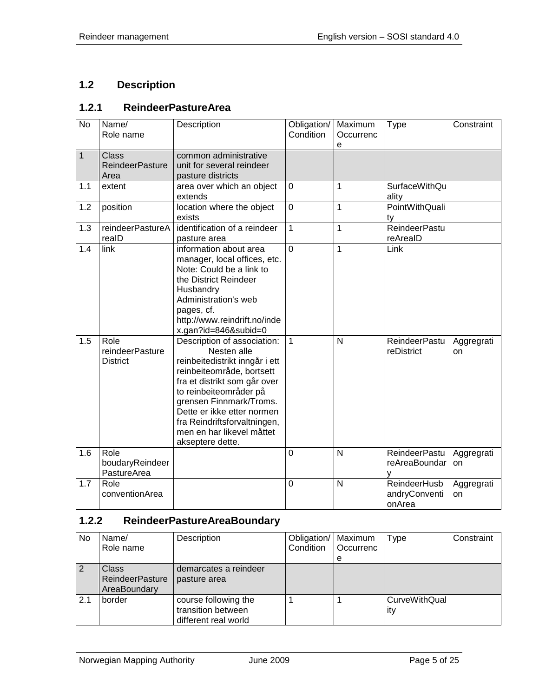# <span id="page-4-0"></span>**1.2 Description**

# <span id="page-4-1"></span>**1.2.1 ReindeerPastureArea**

| $\overline{N}$ | Name/<br>Role name                             | Description                                                                                                                                                                                                                                                                                                   | Obligation/<br>Condition | Maximum<br>Occurrenc<br>e | Type                                    | Constraint       |
|----------------|------------------------------------------------|---------------------------------------------------------------------------------------------------------------------------------------------------------------------------------------------------------------------------------------------------------------------------------------------------------------|--------------------------|---------------------------|-----------------------------------------|------------------|
| $\overline{1}$ | <b>Class</b><br><b>ReindeerPasture</b><br>Area | common administrative<br>unit for several reindeer<br>pasture districts                                                                                                                                                                                                                                       |                          |                           |                                         |                  |
| 1.1            | extent                                         | area over which an object<br>extends                                                                                                                                                                                                                                                                          | 0                        | 1                         | <b>SurfaceWithQu</b><br>ality           |                  |
| 1.2            | position                                       | location where the object<br>exists                                                                                                                                                                                                                                                                           | $\overline{0}$           | $\mathbf 1$               | <b>PointWithQuali</b><br>ty             |                  |
| 1.3            | reindeerPastureA<br>realD                      | identification of a reindeer<br>pasture area                                                                                                                                                                                                                                                                  | $\overline{1}$           | $\overline{1}$            | <b>ReindeerPastu</b><br>reArealD        |                  |
| 1.4            | link                                           | information about area<br>manager, local offices, etc.<br>Note: Could be a link to<br>the District Reindeer<br>Husbandry<br>Administration's web<br>pages, cf.<br>http://www.reindrift.no/inde<br>x.gan?id=846&subid=0                                                                                        | $\overline{0}$           | 1                         | Link                                    |                  |
| 1.5            | Role<br>reindeerPasture<br><b>District</b>     | Description of association:<br>Nesten alle<br>reinbeitedistrikt inngår i ett<br>reinbeiteområde, bortsett<br>fra et distrikt som går over<br>to reinbeiteområder på<br>grensen Finnmark/Troms.<br>Dette er ikke etter normen<br>fra Reindriftsforvaltningen,<br>men en har likevel måttet<br>akseptere dette. | 1                        | N                         | <b>ReindeerPastu</b><br>reDistrict      | Aggregrati<br>on |
| 1.6            | Role<br>boudaryReindeer<br>PastureArea         |                                                                                                                                                                                                                                                                                                               | 0                        | $\mathsf{N}$              | <b>ReindeerPastu</b><br>reAreaBoundar   | Aggregrati<br>on |
| 1.7            | Role<br>conventionArea                         |                                                                                                                                                                                                                                                                                                               | $\overline{0}$           | $\overline{N}$            | ReindeerHusb<br>andryConventi<br>onArea | Aggregrati<br>on |

# <span id="page-4-2"></span>**1.2.2 ReindeerPastureAreaBoundary**

| <b>No</b> | Name/<br>Role name                                     | Description                                                        | Obligation/   Maximum<br>Condition | Occurrenc<br>е | Type                        | Constraint |
|-----------|--------------------------------------------------------|--------------------------------------------------------------------|------------------------------------|----------------|-----------------------------|------------|
|           | <b>Class</b><br><b>ReindeerPasture</b><br>AreaBoundary | demarcates a reindeer<br>pasture area                              |                                    |                |                             |            |
| 2.1       | border                                                 | course following the<br>transition between<br>different real world |                                    |                | <b>CurveWithQual</b><br>ity |            |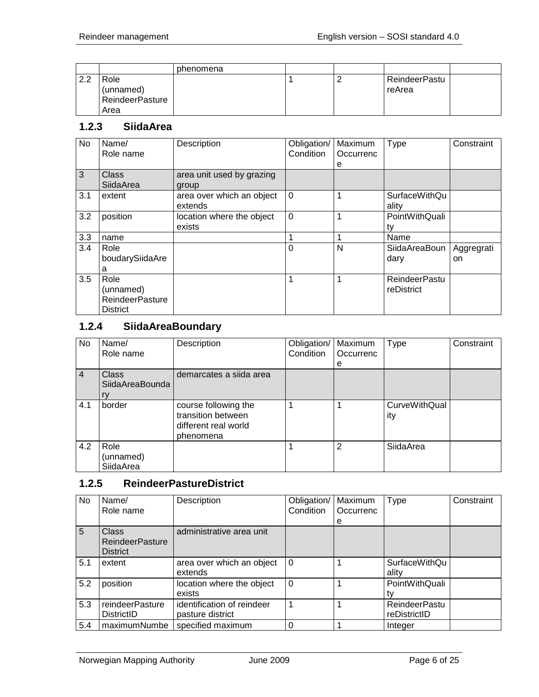|     |                                                     | phenomena |  |                         |  |
|-----|-----------------------------------------------------|-----------|--|-------------------------|--|
| 2.2 | Role<br>(unnamed)<br><b>ReindeerPasture</b><br>Area |           |  | ReindeerPastu<br>reArea |  |

#### <span id="page-5-0"></span>**1.2.3 SiidaArea**

| No  | Name/<br>Role name                                             | Description                          | Obligation/<br>Condition | Maximum<br>Occurrenc | <b>Type</b>                        | Constraint       |
|-----|----------------------------------------------------------------|--------------------------------------|--------------------------|----------------------|------------------------------------|------------------|
|     |                                                                |                                      |                          | е                    |                                    |                  |
| 3   | <b>Class</b><br>SiidaArea                                      | area unit used by grazing<br>group   |                          |                      |                                    |                  |
| 3.1 | extent                                                         | area over which an object<br>extends | $\Omega$                 |                      | <b>SurfaceWithQu</b><br>ality      |                  |
| 3.2 | position                                                       | location where the object<br>exists  | $\mathbf 0$              |                      | PointWithQuali<br>tv               |                  |
| 3.3 | name                                                           |                                      |                          |                      | Name                               |                  |
| 3.4 | Role<br>boudarySiidaAre<br>a                                   |                                      | 0                        | N                    | SiidaAreaBoun<br>dary              | Aggregrati<br>on |
| 3.5 | Role<br>(unnamed)<br><b>ReindeerPasture</b><br><b>District</b> |                                      |                          |                      | <b>ReindeerPastu</b><br>reDistrict |                  |

# <span id="page-5-1"></span>**1.2.4 SiidaAreaBoundary**

| No             | Name/<br>Role name                    | Description                                                                     | Obligation/<br>Condition | Maximum<br>Occurrenc<br>е | <b>Type</b>                 | Constraint |
|----------------|---------------------------------------|---------------------------------------------------------------------------------|--------------------------|---------------------------|-----------------------------|------------|
| $\overline{4}$ | <b>Class</b><br>SiidaAreaBounda<br>ry | demarcates a siida area                                                         |                          |                           |                             |            |
| 4.1            | border                                | course following the<br>transition between<br>different real world<br>phenomena |                          |                           | <b>CurveWithQual</b><br>ity |            |
| 4.2            | Role<br>(unnamed)<br>SiidaArea        |                                                                                 |                          | 2                         | SiidaArea                   |            |

## <span id="page-5-2"></span>**1.2.5 ReindeerPastureDistrict**

| No              | Name/<br>Role name                                        | Description                                    | Obligation/<br>Condition | Maximum<br>Occurrenc<br>е | <b>Type</b>                          | Constraint |
|-----------------|-----------------------------------------------------------|------------------------------------------------|--------------------------|---------------------------|--------------------------------------|------------|
| $5\overline{)}$ | <b>Class</b><br><b>ReindeerPasture</b><br><b>District</b> | administrative area unit                       |                          |                           |                                      |            |
| 5.1             | extent                                                    | area over which an object<br>extends           | $\Omega$                 |                           | <b>SurfaceWithQu</b><br>ality        |            |
| 5.2             | position                                                  | location where the object<br>exists            | $\Omega$                 |                           | PointWithQuali                       |            |
| 5.3             | reindeerPasture<br><b>DistrictID</b>                      | identification of reindeer<br>pasture district |                          |                           | <b>ReindeerPastu</b><br>reDistrictID |            |
| 5.4             | maximumNumbe                                              | specified maximum                              | 0                        |                           | Integer                              |            |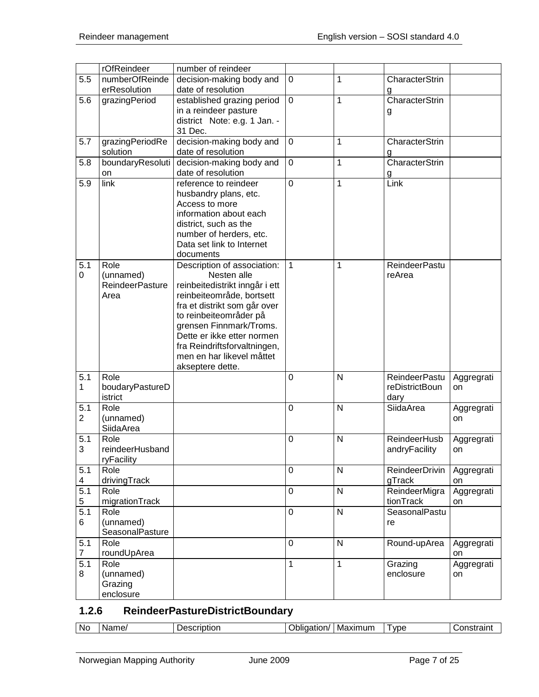|                | rOfReindeer                  | number of reindeer                                   |                |              |                      |            |
|----------------|------------------------------|------------------------------------------------------|----------------|--------------|----------------------|------------|
| 5.5            | numberOfReinde               | decision-making body and                             | $\overline{0}$ | 1            | CharacterStrin       |            |
|                | erResolution                 | date of resolution                                   |                |              | g                    |            |
| 5.6            | grazingPeriod                | established grazing period                           | $\mathbf 0$    | 1            | CharacterStrin       |            |
|                |                              | in a reindeer pasture                                |                |              | g                    |            |
|                |                              | district Note: e.g. 1 Jan. -                         |                |              |                      |            |
|                |                              | 31 Dec.                                              |                |              |                      |            |
| 5.7            | grazingPeriodRe              | decision-making body and                             | 0              | 1            | CharacterStrin       |            |
|                | solution                     | date of resolution                                   |                |              | g                    |            |
| 5.8            | boundaryResoluti             | decision-making body and                             | 0              | 1            | CharacterStrin       |            |
|                | on                           | date of resolution                                   |                |              | g                    |            |
| 5.9            | link                         | reference to reindeer                                | 0              | 1            | Link                 |            |
|                |                              | husbandry plans, etc.                                |                |              |                      |            |
|                |                              | Access to more                                       |                |              |                      |            |
|                |                              | information about each                               |                |              |                      |            |
|                |                              | district, such as the                                |                |              |                      |            |
|                |                              | number of herders, etc.<br>Data set link to Internet |                |              |                      |            |
|                |                              | documents                                            |                |              |                      |            |
| 5.1            | Role                         | Description of association:                          | 1              | 1            | <b>ReindeerPastu</b> |            |
| 0              | (unnamed)                    | Nesten alle                                          |                |              | reArea               |            |
|                | <b>ReindeerPasture</b>       | reinbeitedistrikt inngår i ett                       |                |              |                      |            |
|                | Area                         | reinbeiteområde, bortsett                            |                |              |                      |            |
|                |                              | fra et distrikt som går over                         |                |              |                      |            |
|                |                              | to reinbeiteområder på                               |                |              |                      |            |
|                |                              | grensen Finnmark/Troms.                              |                |              |                      |            |
|                |                              | Dette er ikke etter normen                           |                |              |                      |            |
|                |                              | fra Reindriftsforvaltningen,                         |                |              |                      |            |
|                |                              | men en har likevel måttet                            |                |              |                      |            |
|                |                              | akseptere dette.                                     |                |              |                      |            |
| 5.1            | Role                         |                                                      | 0              | N            | <b>ReindeerPastu</b> | Aggregrati |
| 1              | boudaryPastureD              |                                                      |                |              | reDistrictBoun       | on         |
|                | istrict                      |                                                      |                |              | dary                 |            |
| 5.1            | Role                         |                                                      | 0              | N            | <b>SiidaArea</b>     | Aggregrati |
| $\overline{2}$ | (unnamed)                    |                                                      |                |              |                      | on         |
|                | SiidaArea                    |                                                      |                |              |                      |            |
| 5.1            | Role                         |                                                      | $\mathbf 0$    | N            | ReindeerHusb         | Aggregrati |
| 3              | reindeerHusband              |                                                      |                |              | andryFacility        | on         |
|                | ryFacility                   |                                                      |                |              |                      |            |
| 5.1            | Role                         |                                                      | $\mathbf 0$    | N            | ReindeerDrivin       | Aggregrati |
| 4<br>5.1       | drivingTrack                 |                                                      |                |              | gTrack               | on         |
|                | Role                         |                                                      | $\mathbf 0$    | $\mathsf{N}$ | ReindeerMigra        | Aggregrati |
| 5<br>5.1       | migrationTrack               |                                                      |                |              | tionTrack            | on         |
|                | Role                         |                                                      | $\mathbf 0$    | $\mathsf{N}$ | SeasonalPastu        |            |
| 6              | (unnamed)<br>SeasonalPasture |                                                      |                |              | re                   |            |
| 5.1            | Role                         |                                                      | $\pmb{0}$      | $\mathsf{N}$ | Round-upArea         | Aggregrati |
| 7              | roundUpArea                  |                                                      |                |              |                      | on         |
| 5.1            | Role                         |                                                      | 1              | 1            | Grazing              | Aggregrati |
| 8              | (unnamed)                    |                                                      |                |              | enclosure            | on         |
|                | Grazing                      |                                                      |                |              |                      |            |
|                | enclosure                    |                                                      |                |              |                      |            |
|                |                              |                                                      |                |              |                      |            |

# <span id="page-6-0"></span>**1.2.6 ReindeerPastureDistrictBoundary**

| Maxır<br>uπ<br>VDE<br>n<br>me,<br>- -<br>----<br>.<br>.<br>scription<br>tion/<br>w<br>,,,,,,,,, | No |  |  |  |  |  |
|-------------------------------------------------------------------------------------------------|----|--|--|--|--|--|
|-------------------------------------------------------------------------------------------------|----|--|--|--|--|--|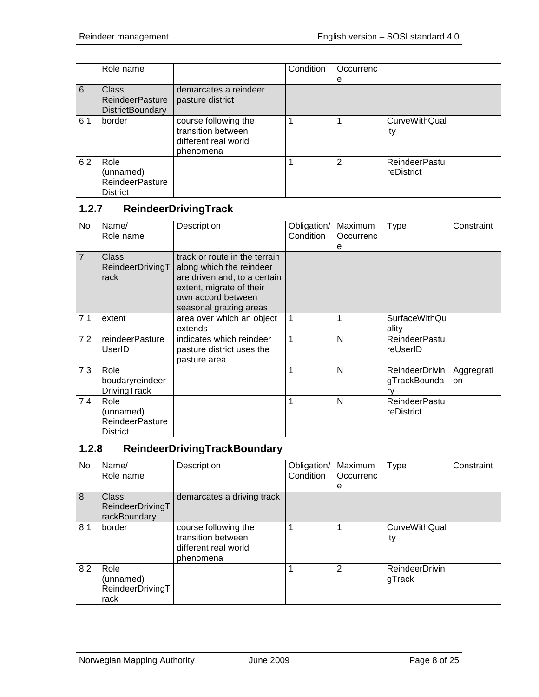|     | Role name                                                         |                                                                                 | Condition | Occurrenc |                             |  |
|-----|-------------------------------------------------------------------|---------------------------------------------------------------------------------|-----------|-----------|-----------------------------|--|
|     |                                                                   |                                                                                 |           | е         |                             |  |
| 6   | <b>Class</b><br><b>ReindeerPasture</b><br><b>DistrictBoundary</b> | demarcates a reindeer<br>pasture district                                       |           |           |                             |  |
| 6.1 | border                                                            | course following the<br>transition between<br>different real world<br>phenomena |           |           | <b>CurveWithQual</b><br>ity |  |
| 6.2 | Role<br>(unnamed)<br><b>ReindeerPasture</b><br><b>District</b>    |                                                                                 |           | 2         | ReindeerPastu<br>reDistrict |  |

## <span id="page-7-0"></span>**1.2.7 ReindeerDrivingTrack**

| No             | Name/<br>Role name                                             | Description                                                                                                                                                           | Obligation/<br><b>Condition</b> | Maximum<br>Occurrenc<br>е | <b>Type</b>                                 | Constraint       |
|----------------|----------------------------------------------------------------|-----------------------------------------------------------------------------------------------------------------------------------------------------------------------|---------------------------------|---------------------------|---------------------------------------------|------------------|
| $\overline{7}$ | <b>Class</b><br>ReindeerDrivingT<br>rack                       | track or route in the terrain<br>along which the reindeer<br>are driven and, to a certain<br>extent, migrate of their<br>own accord between<br>seasonal grazing areas |                                 |                           |                                             |                  |
| 7.1            | extent                                                         | area over which an object<br>extends                                                                                                                                  |                                 |                           | <b>SurfaceWithQu</b><br>ality               |                  |
| 7.2            | reindeerPasture<br>UserID                                      | indicates which reindeer<br>pasture district uses the<br>pasture area                                                                                                 |                                 | N                         | <b>ReindeerPastu</b><br>reUserID            |                  |
| 7.3            | Role<br>boudaryreindeer<br>DrivingTrack                        |                                                                                                                                                                       |                                 | N                         | <b>ReindeerDrivin</b><br>gTrackBounda<br>ry | Aggregrati<br>on |
| 7.4            | Role<br>(unnamed)<br><b>ReindeerPasture</b><br><b>District</b> |                                                                                                                                                                       |                                 | N                         | <b>ReindeerPastu</b><br>reDistrict          |                  |

# <span id="page-7-1"></span>**1.2.8 ReindeerDrivingTrackBoundary**

| No  | Name/<br>Role name                               | Description                                                                     | Obligation/<br>Condition | Maximum<br>Occurrenc<br>е | <b>Type</b>                     | Constraint |
|-----|--------------------------------------------------|---------------------------------------------------------------------------------|--------------------------|---------------------------|---------------------------------|------------|
| 8   | <b>Class</b><br>ReindeerDrivingT<br>rackBoundary | demarcates a driving track                                                      |                          |                           |                                 |            |
| 8.1 | border                                           | course following the<br>transition between<br>different real world<br>phenomena |                          |                           | <b>CurveWithQual</b><br>ity     |            |
| 8.2 | Role<br>(unnamed)<br>ReindeerDrivingT<br>rack    |                                                                                 |                          | 2                         | <b>ReindeerDrivin</b><br>gTrack |            |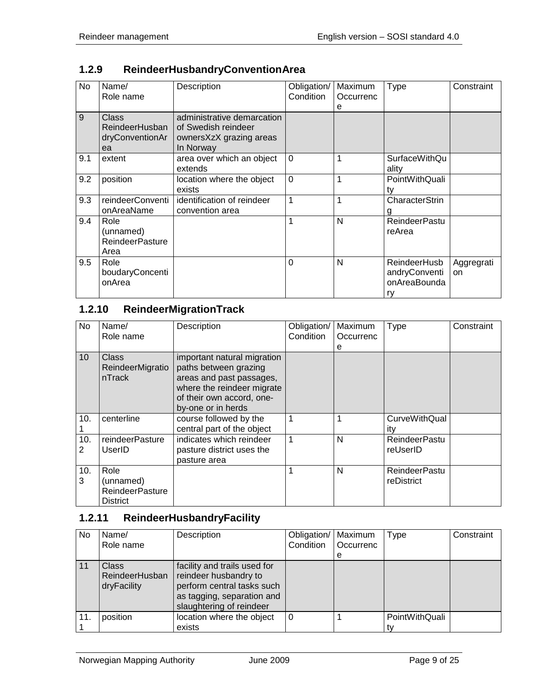| <b>No</b> | Name/<br>Role name                                  | Description                                                                               | Obligation/<br>Condition | Maximum<br>Occurrenc<br>e | Type                                                | Constraint              |
|-----------|-----------------------------------------------------|-------------------------------------------------------------------------------------------|--------------------------|---------------------------|-----------------------------------------------------|-------------------------|
| 9         | Class<br>ReindeerHusban<br>dryConventionAr<br>ea    | administrative demarcation<br>of Swedish reindeer<br>ownersXzX grazing areas<br>In Norway |                          |                           |                                                     |                         |
| 9.1       | extent                                              | area over which an object<br>extends                                                      | $\Omega$                 | 1                         | SurfaceWithQu<br>ality                              |                         |
| 9.2       | position                                            | location where the object<br>exists                                                       | $\overline{0}$           | 1                         | PointWithQuali<br>ty                                |                         |
| 9.3       | reindeerConventi<br>onAreaName                      | identification of reindeer<br>convention area                                             | 1                        | $\mathbf{1}$              | CharacterStrin                                      |                         |
| 9.4       | Role<br>(unnamed)<br><b>ReindeerPasture</b><br>Area |                                                                                           | 1                        | N                         | <b>ReindeerPastu</b><br>reArea                      |                         |
| 9.5       | Role<br>boudaryConcenti<br>onArea                   |                                                                                           | $\overline{0}$           | N                         | ReindeerHusb<br>andryConventi<br>onAreaBounda<br>ry | Aggregrati<br><b>on</b> |

# <span id="page-8-0"></span>**1.2.9 ReindeerHusbandryConventionArea**

# <span id="page-8-1"></span>**1.2.10 ReindeerMigrationTrack**

| <b>No</b> | Name/<br>Role name                                             | Description                                                                                                                                                       | Obligation/<br>Condition | Maximum<br>Occurrenc | <b>Type</b>                        | Constraint |
|-----------|----------------------------------------------------------------|-------------------------------------------------------------------------------------------------------------------------------------------------------------------|--------------------------|----------------------|------------------------------------|------------|
| 10        | <b>Class</b><br>ReindeerMigratio<br>nTrack                     | important natural migration<br>paths between grazing<br>areas and past passages,<br>where the reindeer migrate<br>of their own accord, one-<br>by-one or in herds |                          | е                    |                                    |            |
| 10.       | centerline                                                     | course followed by the<br>central part of the object                                                                                                              |                          |                      | <b>CurveWithQual</b><br>ity        |            |
| 10.<br>2  | reindeerPasture<br>UserID                                      | indicates which reindeer<br>pasture district uses the<br>pasture area                                                                                             | 1                        | N                    | <b>ReindeerPastu</b><br>reUserID   |            |
| 10.<br>3  | Role<br>(unnamed)<br><b>ReindeerPasture</b><br><b>District</b> |                                                                                                                                                                   |                          | N                    | <b>ReindeerPastu</b><br>reDistrict |            |

#### <span id="page-8-2"></span>**1.2.11 ReindeerHusbandryFacility**

| No. | Name/<br>Role name                            | Description                                                                                                                                   | Obligation/   Maximum<br>Condition | Occurrenc | Type           | Constraint |
|-----|-----------------------------------------------|-----------------------------------------------------------------------------------------------------------------------------------------------|------------------------------------|-----------|----------------|------------|
|     |                                               |                                                                                                                                               |                                    | е         |                |            |
| 11  | <b>Class</b><br>ReindeerHusban<br>dryFacility | facility and trails used for<br>reindeer husbandry to<br>perform central tasks such<br>as tagging, separation and<br>slaughtering of reindeer |                                    |           |                |            |
| 11. | position                                      | location where the object                                                                                                                     | $\Omega$                           |           | PointWithQuali |            |
|     |                                               | exists                                                                                                                                        |                                    |           |                |            |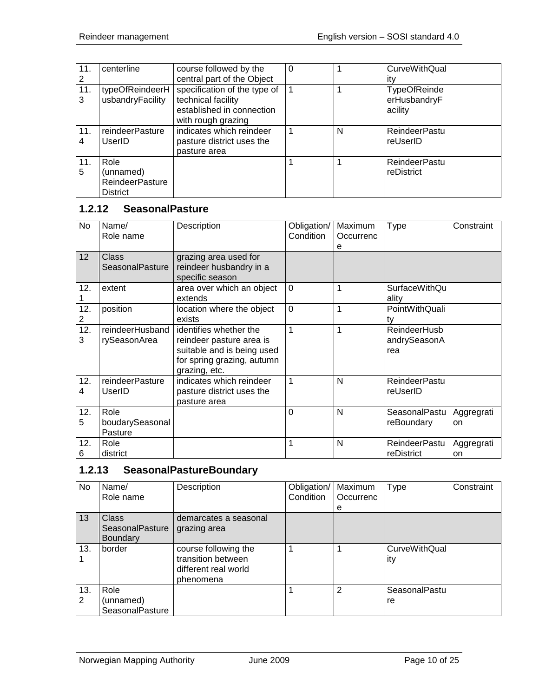| 11.<br>$\overline{2}$ | centerline                                                     | course followed by the<br>central part of the Object                                                  |   | <b>CurveWithQual</b>                           |
|-----------------------|----------------------------------------------------------------|-------------------------------------------------------------------------------------------------------|---|------------------------------------------------|
| 11.<br>3              | typeOfReindeerH<br>usbandryFacility                            | specification of the type of<br>technical facility<br>established in connection<br>with rough grazing |   | <b>TypeOfReinde</b><br>erHusbandryF<br>acility |
| 11.<br>$\overline{4}$ | reindeerPasture<br><b>UserID</b>                               | indicates which reindeer<br>pasture district uses the<br>pasture area                                 | N | <b>ReindeerPastu</b><br>reUserID               |
| 11.<br>5              | Role<br>(unnamed)<br><b>ReindeerPasture</b><br><b>District</b> |                                                                                                       |   | <b>ReindeerPastu</b><br>reDistrict             |

#### <span id="page-9-0"></span>**1.2.12 SeasonalPasture**

| No       | Name/<br>Role name                 | Description                                                                                                                     | Obligation/<br>Condition | Maximum<br>Occurrenc<br>е | <b>Type</b>                                | Constraint       |
|----------|------------------------------------|---------------------------------------------------------------------------------------------------------------------------------|--------------------------|---------------------------|--------------------------------------------|------------------|
| 12       | Class<br>SeasonalPasture           | grazing area used for<br>reindeer husbandry in a<br>specific season                                                             |                          |                           |                                            |                  |
| 12.      | extent                             | area over which an object<br>extends                                                                                            | $\Omega$                 |                           | <b>SurfaceWithQu</b><br>ality              |                  |
| 12.<br>2 | position                           | location where the object<br>exists                                                                                             | $\mathbf 0$              |                           | PointWithQuali<br>tv                       |                  |
| 12.<br>3 | reindeerHusband<br>rySeasonArea    | identifies whether the<br>reindeer pasture area is<br>suitable and is being used<br>for spring grazing, autumn<br>grazing, etc. |                          |                           | <b>ReindeerHusb</b><br>andrySeasonA<br>rea |                  |
| 12.<br>4 | reindeerPasture<br>UserID          | indicates which reindeer<br>pasture district uses the<br>pasture area                                                           |                          | N                         | <b>ReindeerPastu</b><br>reUserID           |                  |
| 12.<br>5 | Role<br>boudarySeasonal<br>Pasture |                                                                                                                                 | $\Omega$                 | N                         | SeasonalPastu<br>reBoundary                | Aggregrati<br>on |
| 12.<br>6 | Role<br>district                   |                                                                                                                                 | 1                        | N                         | <b>ReindeerPastu</b><br>reDistrict         | Aggregrati<br>on |

## <span id="page-9-1"></span>**1.2.13 SeasonalPastureBoundary**

| No  | Name/           | Description                                                                     | Obligation/ | Maximum   | Type                        | Constraint |
|-----|-----------------|---------------------------------------------------------------------------------|-------------|-----------|-----------------------------|------------|
|     | Role name       |                                                                                 | Condition   | Occurrenc |                             |            |
|     |                 |                                                                                 |             | е         |                             |            |
| 13  | <b>Class</b>    | demarcates a seasonal                                                           |             |           |                             |            |
|     | SeasonalPasture | grazing area                                                                    |             |           |                             |            |
|     | <b>Boundary</b> |                                                                                 |             |           |                             |            |
| 13. | border          | course following the<br>transition between<br>different real world<br>phenomena |             |           | <b>CurveWithQual</b><br>ity |            |
| 13. | Role            |                                                                                 |             | 2         | SeasonalPastu               |            |
| 2   | (unnamed)       |                                                                                 |             |           | re                          |            |
|     | SeasonalPasture |                                                                                 |             |           |                             |            |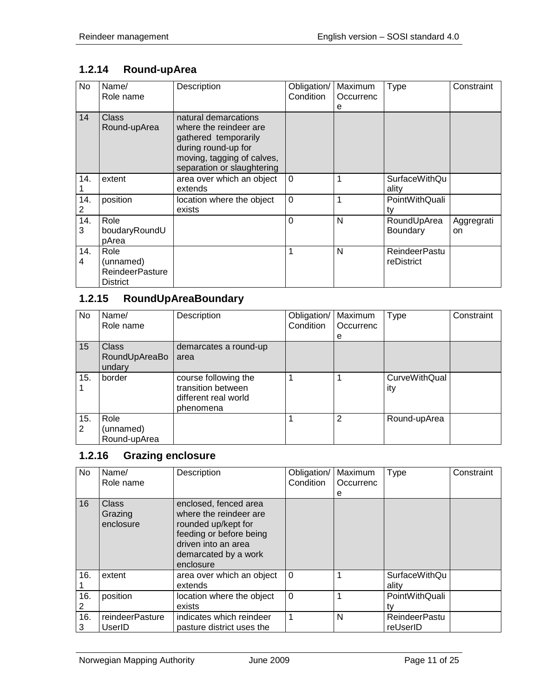# <span id="page-10-0"></span>**1.2.14 Round-upArea**

| <b>No</b> | Name/<br>Role name                                             | Description                                                                                                                                               | Obligation/<br>Condition | Maximum<br>Occurrenc<br>е | Type                               | Constraint       |
|-----------|----------------------------------------------------------------|-----------------------------------------------------------------------------------------------------------------------------------------------------------|--------------------------|---------------------------|------------------------------------|------------------|
| 14        | Class<br>Round-upArea                                          | natural demarcations<br>where the reindeer are<br>gathered temporarily<br>during round-up for<br>moving, tagging of calves,<br>separation or slaughtering |                          |                           |                                    |                  |
| 14.       | extent                                                         | area over which an object<br>extends                                                                                                                      | $\Omega$                 | 1                         | <b>SurfaceWithQu</b><br>ality      |                  |
| 14.<br>2  | position                                                       | location where the object<br>exists                                                                                                                       | $\mathbf 0$              | 1                         | PointWithQuali<br>tv               |                  |
| 14.<br>3  | Role<br>boudaryRoundU<br>pArea                                 |                                                                                                                                                           | $\Omega$                 | N                         | RoundUpArea<br>Boundary            | Aggregrati<br>on |
| 14.<br>4  | Role<br>(unnamed)<br><b>ReindeerPasture</b><br><b>District</b> |                                                                                                                                                           | 1                        | N                         | <b>ReindeerPastu</b><br>reDistrict |                  |

# <span id="page-10-1"></span>**1.2.15 RoundUpAreaBoundary**

| No       | Name/<br>Role name                      | Description                                                                     | Obligation/<br>Condition | Maximum<br>Occurrenc<br>е | <b>Type</b>          | Constraint |
|----------|-----------------------------------------|---------------------------------------------------------------------------------|--------------------------|---------------------------|----------------------|------------|
| 15       | <b>Class</b><br>RoundUpAreaBo<br>undary | demarcates a round-up<br>area                                                   |                          |                           |                      |            |
| 15.      | border                                  | course following the<br>transition between<br>different real world<br>phenomena |                          |                           | CurveWithQual<br>ity |            |
| 15.<br>2 | Role<br>(unnamed)<br>Round-upArea       |                                                                                 |                          | 2                         | Round-upArea         |            |

#### <span id="page-10-2"></span>**1.2.16 Grazing enclosure**

| No  | Name/<br>Role name            | Description                                                                                                                                                   | Obligation/<br>Condition | Maximum<br>Occurrenc | Type                 | Constraint |
|-----|-------------------------------|---------------------------------------------------------------------------------------------------------------------------------------------------------------|--------------------------|----------------------|----------------------|------------|
|     |                               |                                                                                                                                                               |                          | е                    |                      |            |
| 16  | Class<br>Grazing<br>enclosure | enclosed, fenced area<br>where the reindeer are<br>rounded up/kept for<br>feeding or before being<br>driven into an area<br>demarcated by a work<br>enclosure |                          |                      |                      |            |
| 16. | extent                        | area over which an object                                                                                                                                     | $\Omega$                 |                      | <b>SurfaceWithQu</b> |            |
|     |                               | extends                                                                                                                                                       |                          |                      | ality                |            |
| 16. | position                      | location where the object                                                                                                                                     | $\Omega$                 |                      | PointWithQuali       |            |
| 2   |                               | exists                                                                                                                                                        |                          |                      | tv                   |            |
| 16. | reindeerPasture               | indicates which reindeer                                                                                                                                      |                          | N                    | <b>ReindeerPastu</b> |            |
| 3   | UserID                        | pasture district uses the                                                                                                                                     |                          |                      | reUserID             |            |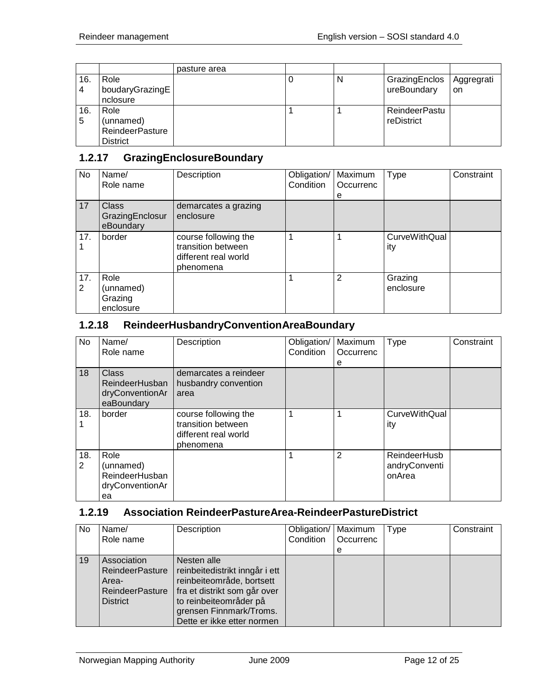|     |                        | pasture area |   |               |            |
|-----|------------------------|--------------|---|---------------|------------|
| 16. | Role                   |              | N | GrazingEnclos | Aggregrati |
| 4   | boudaryGrazingE        |              |   | ureBoundary   | on         |
|     | nclosure               |              |   |               |            |
| 16. | Role                   |              |   | ReindeerPastu |            |
| 5   | (unnamed)              |              |   | reDistrict    |            |
|     | <b>ReindeerPasture</b> |              |   |               |            |
|     | <b>District</b>        |              |   |               |            |

## <span id="page-11-0"></span>**1.2.17 GrazingEnclosureBoundary**

| No       | Name/<br>Role name                           | Description                                                                     | Obligation/<br>Condition | Maximum<br>Occurrenc<br>е | <b>Type</b>                 | Constraint |
|----------|----------------------------------------------|---------------------------------------------------------------------------------|--------------------------|---------------------------|-----------------------------|------------|
| 17       | <b>Class</b><br>GrazingEnclosur<br>eBoundary | demarcates a grazing<br>enclosure                                               |                          |                           |                             |            |
| 17.      | border                                       | course following the<br>transition between<br>different real world<br>phenomena |                          |                           | <b>CurveWithQual</b><br>ity |            |
| 17.<br>2 | Role<br>(unnamed)<br>Grazing<br>enclosure    |                                                                                 |                          | $\overline{2}$            | Grazing<br>enclosure        |            |

## <span id="page-11-1"></span>**1.2.18 ReindeerHusbandryConventionAreaBoundary**

| No       | Name/<br>Role name                                           | Description                                                                     | Obligation/<br>Condition | Maximum<br>Occurrenc<br>е | Type                                    | Constraint |
|----------|--------------------------------------------------------------|---------------------------------------------------------------------------------|--------------------------|---------------------------|-----------------------------------------|------------|
| 18       | Class<br>ReindeerHusban<br>dryConventionAr<br>eaBoundary     | demarcates a reindeer<br>husbandry convention<br>area                           |                          |                           |                                         |            |
| 18.      | border                                                       | course following the<br>transition between<br>different real world<br>phenomena | 1                        | 1                         | <b>CurveWithQual</b><br>ity             |            |
| 18.<br>2 | Role<br>(unnamed)<br>ReindeerHusban<br>dryConventionAr<br>ea |                                                                                 |                          | $\overline{2}$            | ReindeerHusb<br>andryConventi<br>onArea |            |

#### <span id="page-11-2"></span>**1.2.19 Association ReindeerPastureArea-ReindeerPastureDistrict**

| No. | Name/<br>Role name                                                            | Description                                                                                                                                                                                   | Obligation/   Maximum<br>Condition | Occurrenc<br>е | Type | Constraint |
|-----|-------------------------------------------------------------------------------|-----------------------------------------------------------------------------------------------------------------------------------------------------------------------------------------------|------------------------------------|----------------|------|------------|
| 19  | Association<br>ReindeerPasture<br>Area-<br>ReindeerPasture<br><b>District</b> | Nesten alle<br>reinbeitedistrikt inngår i ett<br>reinbeiteområde, bortsett<br>fra et distrikt som går over<br>to reinbeiteområder på<br>grensen Finnmark/Troms.<br>Dette er ikke etter normen |                                    |                |      |            |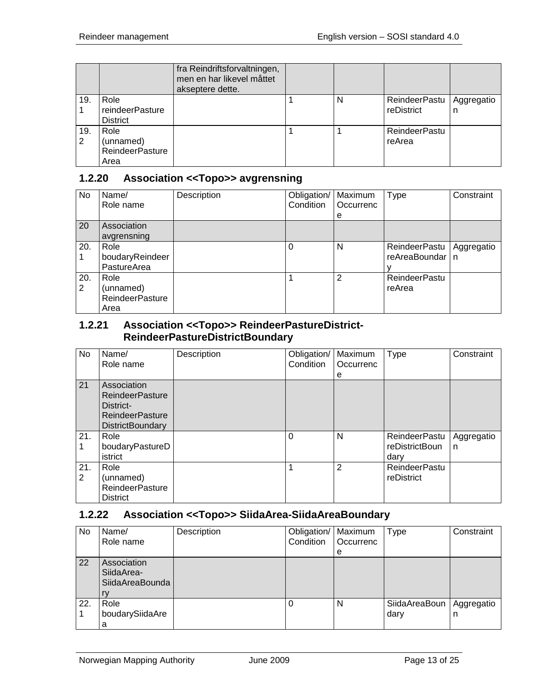|          |                                                     | fra Reindriftsforvaltningen,<br>men en har likevel måttet<br>akseptere dette. |   |                                |                 |
|----------|-----------------------------------------------------|-------------------------------------------------------------------------------|---|--------------------------------|-----------------|
| 19.      | Role<br>reindeerPasture<br><b>District</b>          |                                                                               | N | ReindeerPastu<br>reDistrict    | Aggregatio<br>n |
| 19.<br>2 | Role<br>(unnamed)<br><b>ReindeerPasture</b><br>Area |                                                                               |   | <b>ReindeerPastu</b><br>reArea |                 |

## <span id="page-12-0"></span>**1.2.20 Association <<Topo>> avgrensning**

| No  | Name/<br>Role name     | Description | Obligation/<br>Condition | Maximum<br>Occurrenc | Type                 | Constraint |
|-----|------------------------|-------------|--------------------------|----------------------|----------------------|------------|
|     |                        |             |                          | e                    |                      |            |
| 20  | Association            |             |                          |                      |                      |            |
|     | avgrensning            |             |                          |                      |                      |            |
| 20. | Role                   |             | O                        | N                    | <b>ReindeerPastu</b> | Aggregatio |
|     | boudaryReindeer        |             |                          |                      | reAreaBoundar        | n          |
|     | PastureArea            |             |                          |                      |                      |            |
| 20. | Role                   |             |                          | 2                    | <b>ReindeerPastu</b> |            |
| 2   | (unnamed)              |             |                          |                      | reArea               |            |
|     | <b>ReindeerPasture</b> |             |                          |                      |                      |            |
|     | Area                   |             |                          |                      |                      |            |

#### <span id="page-12-1"></span>**1.2.21 Association <<Topo>> ReindeerPastureDistrict-ReindeerPastureDistrictBoundary**

| No       | Name/<br>Role name                                                                                      | Description | Obligation/<br>Condition | Maximum<br>Occurrenc<br>е | Type                                           | Constraint      |
|----------|---------------------------------------------------------------------------------------------------------|-------------|--------------------------|---------------------------|------------------------------------------------|-----------------|
| 21       | Association<br><b>ReindeerPasture</b><br>District-<br><b>ReindeerPasture</b><br><b>DistrictBoundary</b> |             |                          |                           |                                                |                 |
| 21.      | Role<br>boudaryPastureD<br>istrict                                                                      |             | $\Omega$                 | N                         | <b>ReindeerPastu</b><br>reDistrictBoun<br>dary | Aggregatio<br>n |
| 21.<br>2 | Role<br>(unnamed)<br><b>ReindeerPasture</b><br><b>District</b>                                          |             | 1                        | 2                         | <b>ReindeerPastu</b><br>reDistrict             |                 |

## <span id="page-12-2"></span>**1.2.22 Association <<Topo>> SiidaArea-SiidaAreaBoundary**

| No  | Name/<br>Role name                                        | Description | Obligation/   Maximum<br>Condition | Occurrenc<br>e | Type                  | Constraint      |
|-----|-----------------------------------------------------------|-------------|------------------------------------|----------------|-----------------------|-----------------|
| 22  | Association<br>SiidaArea-<br><b>SiidaAreaBounda</b><br>rv |             |                                    |                |                       |                 |
| 22. | Role<br>boudarySiidaAre<br>a                              |             | 0                                  | N              | SiidaAreaBoun<br>dary | Aggregatio<br>n |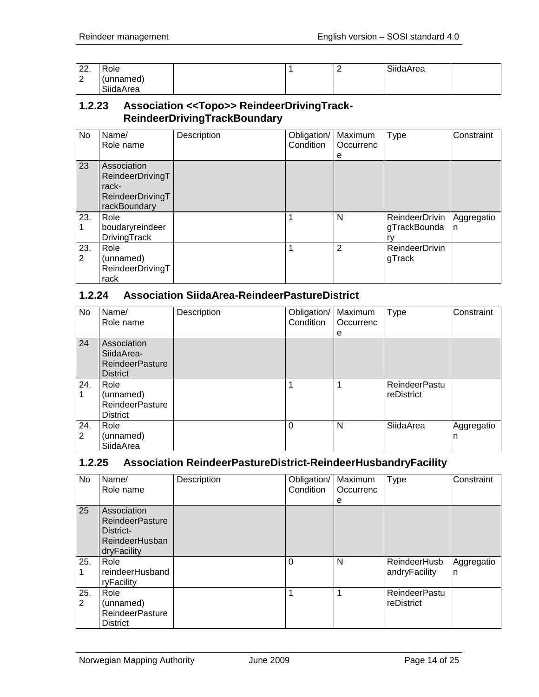| ററ<br>LL.   | Role      |  | SiidaArea |  |
|-------------|-----------|--|-----------|--|
| $\sim$<br>▵ | (unnamed) |  |           |  |
|             | SiidaArea |  |           |  |

#### <span id="page-13-0"></span>**1.2.23 Association <<Topo>> ReindeerDrivingTrack-ReindeerDrivingTrackBoundary**

| No       | Name/<br>Role name                                                           | Description | Obligation/<br>Condition | Maximum<br>Occurrenc<br>е | <b>Type</b>                          | Constraint      |
|----------|------------------------------------------------------------------------------|-------------|--------------------------|---------------------------|--------------------------------------|-----------------|
| 23       | Association<br>ReindeerDrivingT<br>rack-<br>ReindeerDrivingT<br>rackBoundary |             |                          |                           |                                      |                 |
| 23.      | Role<br>boudaryreindeer<br>DrivingTrack                                      |             |                          | N                         | ReindeerDrivin<br>gTrackBounda<br>rv | Aggregatio<br>n |
| 23.<br>2 | Role<br>(unnamed)<br>ReindeerDrivingT<br>rack                                |             | 1                        | 2                         | <b>ReindeerDrivin</b><br>gTrack      |                 |

#### <span id="page-13-1"></span>**1.2.24 Association SiidaArea-ReindeerPastureDistrict**

| No       | Name/<br>Role name                                                     | Description | Obligation/<br>Condition | Maximum<br>Occurrenc<br>е | <b>Type</b>                        | Constraint      |
|----------|------------------------------------------------------------------------|-------------|--------------------------|---------------------------|------------------------------------|-----------------|
| 24       | Association<br>SiidaArea-<br><b>ReindeerPasture</b><br><b>District</b> |             |                          |                           |                                    |                 |
| 24.<br>1 | Role<br>(unnamed)<br><b>ReindeerPasture</b><br><b>District</b>         |             | 1                        | 1                         | <b>ReindeerPastu</b><br>reDistrict |                 |
| 24.<br>2 | Role<br>(unnamed)<br>SiidaArea                                         |             | $\Omega$                 | N                         | <b>SiidaArea</b>                   | Aggregatio<br>n |

#### <span id="page-13-2"></span>**1.2.25 Association ReindeerPastureDistrict-ReindeerHusbandryFacility**

| No                    | Name/<br>Role name                                                                  | Description | Obligation/<br>Condition | Maximum<br>Occurrenc<br>e | <b>Type</b>                        | Constraint      |
|-----------------------|-------------------------------------------------------------------------------------|-------------|--------------------------|---------------------------|------------------------------------|-----------------|
| 25                    | Association<br><b>ReindeerPasture</b><br>District-<br>ReindeerHusban<br>dryFacility |             |                          |                           |                                    |                 |
| 25.                   | Role<br>reindeerHusband<br>ryFacility                                               |             | $\Omega$                 | N                         | ReindeerHusb<br>andryFacility      | Aggregatio<br>n |
| 25.<br>$\overline{2}$ | Role<br>(unnamed)<br><b>ReindeerPasture</b><br><b>District</b>                      |             | 1                        | 1                         | <b>ReindeerPastu</b><br>reDistrict |                 |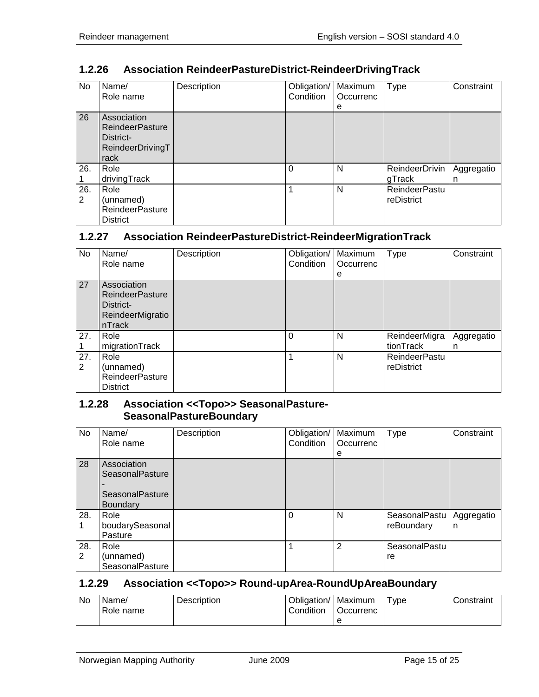# <span id="page-14-0"></span>**1.2.26 Association ReindeerPastureDistrict-ReindeerDrivingTrack**

| No                    | Name/<br>Role name                                                             | Description | Obligation/<br>Condition | Maximum<br>Occurrenc<br>е | <b>Type</b>                        | Constraint      |
|-----------------------|--------------------------------------------------------------------------------|-------------|--------------------------|---------------------------|------------------------------------|-----------------|
| 26                    | Association<br><b>ReindeerPasture</b><br>District-<br>ReindeerDrivingT<br>rack |             |                          |                           |                                    |                 |
| 26.                   | Role<br>drivingTrack                                                           |             | 0                        | N                         | <b>ReindeerDrivin</b><br>gTrack    | Aggregatio<br>n |
| 26.<br>$\overline{2}$ | Role<br>(unnamed)<br>ReindeerPasture<br><b>District</b>                        |             |                          | N                         | <b>ReindeerPastu</b><br>reDistrict |                 |

#### <span id="page-14-1"></span>**1.2.27 Association ReindeerPastureDistrict-ReindeerMigrationTrack**

| No       | Name/<br>Role name                                                               | Description | Obligation/<br>Condition | Maximum<br>Occurrenc<br>е | <b>Type</b>                        | Constraint      |
|----------|----------------------------------------------------------------------------------|-------------|--------------------------|---------------------------|------------------------------------|-----------------|
| 27       | Association<br><b>ReindeerPasture</b><br>District-<br>ReindeerMigratio<br>nTrack |             |                          |                           |                                    |                 |
| 27.      | Role<br>migrationTrack                                                           |             | 0                        | N                         | ReindeerMigra<br>tionTrack         | Aggregatio<br>n |
| 27.<br>2 | Role<br>(unnamed)<br><b>ReindeerPasture</b><br><b>District</b>                   |             |                          | N                         | <b>ReindeerPastu</b><br>reDistrict |                 |

#### <span id="page-14-2"></span>**1.2.28 Association <<Topo>> SeasonalPasture-SeasonalPastureBoundary**

| No             | Name/                  | Description | Obligation/ | Maximum   | <b>Type</b>   | Constraint |
|----------------|------------------------|-------------|-------------|-----------|---------------|------------|
|                | Role name              |             | Condition   | Occurrenc |               |            |
|                |                        |             |             | е         |               |            |
| 28             | Association            |             |             |           |               |            |
|                | <b>SeasonalPasture</b> |             |             |           |               |            |
|                |                        |             |             |           |               |            |
|                | <b>SeasonalPasture</b> |             |             |           |               |            |
|                | <b>Boundary</b>        |             |             |           |               |            |
| 28.            | Role                   |             | 0           | N         | SeasonalPastu | Aggregatio |
|                | boudarySeasonal        |             |             |           | reBoundary    | n          |
|                | Pasture                |             |             |           |               |            |
| 28.            | Role                   |             |             | 2         | SeasonalPastu |            |
| $\overline{2}$ | (unnamed)              |             |             |           | re            |            |
|                | SeasonalPasture        |             |             |           |               |            |

#### <span id="page-14-3"></span>**1.2.29 Association <<Topo>> Round-upArea-RoundUpAreaBoundary**

| No. | Name/<br>Role name | Description | Obligation/   Maximum<br>Condition | Occurrenc | vpe | Constraint |
|-----|--------------------|-------------|------------------------------------|-----------|-----|------------|
|     |                    |             |                                    |           |     |            |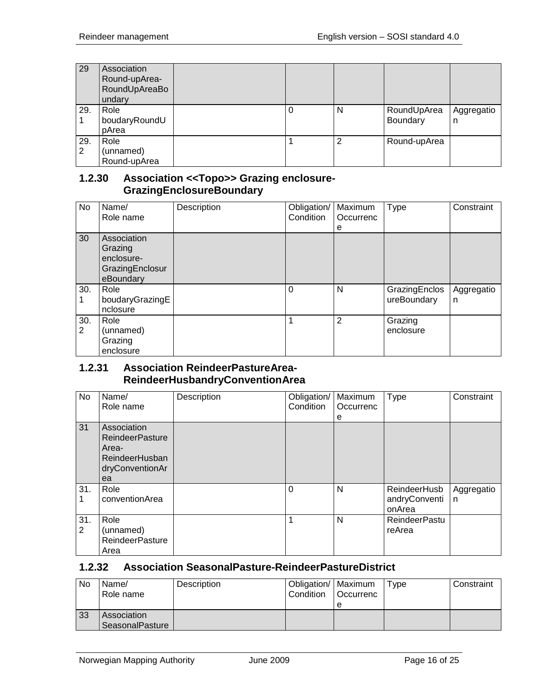| 29       | Association<br>Round-upArea-<br>RoundUpAreaBo<br>undary |  |   |                         |                 |
|----------|---------------------------------------------------------|--|---|-------------------------|-----------------|
| 29.      | Role<br>boudaryRoundU<br>pArea                          |  | N | RoundUpArea<br>Boundary | Aggregatio<br>n |
| 29.<br>2 | Role<br>(unnamed)<br>Round-upArea                       |  | 2 | Round-upArea            |                 |

#### <span id="page-15-0"></span>**1.2.30 Association <<Topo>> Grazing enclosure-GrazingEnclosureBoundary**

| No       | Name/<br>Role name                                                   | Description | Obligation/<br>Condition | Maximum<br>Occurrenc<br>е | Type                         | Constraint      |
|----------|----------------------------------------------------------------------|-------------|--------------------------|---------------------------|------------------------------|-----------------|
| 30       | Association<br>Grazing<br>enclosure-<br>GrazingEnclosur<br>eBoundary |             |                          |                           |                              |                 |
| 30.      | Role<br>boudaryGrazingE<br>nclosure                                  |             | 0                        | N                         | GrazingEnclos<br>ureBoundary | Aggregatio<br>n |
| 30.<br>2 | Role<br>(unnamed)<br>Grazing<br>enclosure                            |             |                          | $\overline{2}$            | Grazing<br>enclosure         |                 |

#### <span id="page-15-1"></span>**1.2.31 Association ReindeerPastureArea-ReindeerHusbandryConventionArea**

| No       | Name/<br>Role name                                                                        | Description | Obligation/<br>Condition | Maximum<br>Occurrenc<br>е | <b>Type</b>                             | Constraint      |
|----------|-------------------------------------------------------------------------------------------|-------------|--------------------------|---------------------------|-----------------------------------------|-----------------|
| 31       | Association<br><b>ReindeerPasture</b><br>Area-<br>ReindeerHusban<br>dryConventionAr<br>ea |             |                          |                           |                                         |                 |
| 31.      | Role<br>conventionArea                                                                    |             | $\Omega$                 | N                         | ReindeerHusb<br>andryConventi<br>onArea | Aggregatio<br>n |
| 31.<br>2 | Role<br>(unnamed)<br><b>ReindeerPasture</b><br>Area                                       |             | 1                        | N                         | <b>ReindeerPastu</b><br>reArea          |                 |

#### <span id="page-15-2"></span>**1.2.32 Association SeasonalPasture-ReindeerPastureDistrict**

| <b>No</b> | Name/<br>Role name             | Description | Obligation/   Maximum<br>Condition | <b>Occurrenc</b><br>е | Type | Constraint |
|-----------|--------------------------------|-------------|------------------------------------|-----------------------|------|------------|
| 33        | Association<br>SeasonalPasture |             |                                    |                       |      |            |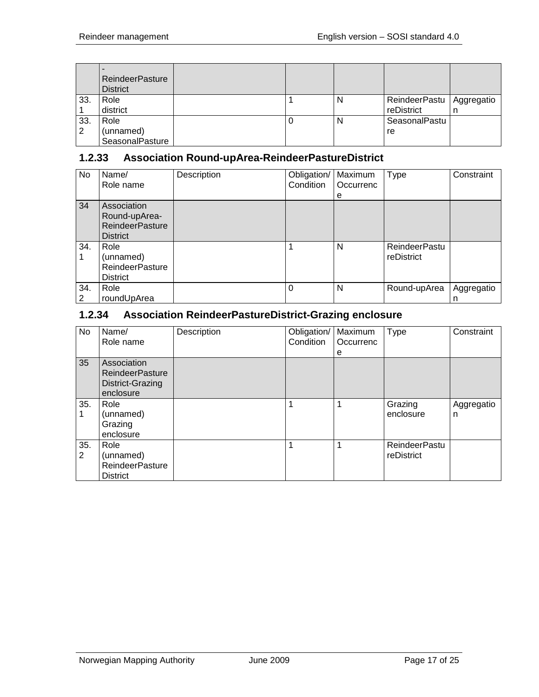|     | <b>ReindeerPasture</b><br><b>District</b> |  |   |                            |   |
|-----|-------------------------------------------|--|---|----------------------------|---|
| 33. | Role                                      |  | N | ReindeerPastu   Aggregatio |   |
|     | district                                  |  |   | reDistrict                 | ш |
| 33. | Role                                      |  | N | SeasonalPastu              |   |
| -2  | (unnamed)                                 |  |   | re                         |   |
|     | SeasonalPasture                           |  |   |                            |   |

# <span id="page-16-0"></span>**1.2.33 Association Round-upArea-ReindeerPastureDistrict**

| No       | Name/<br>Role name                                                        | Description | Obligation/<br>Condition | Maximum<br>Occurrenc | <b>Type</b>                        | Constraint      |
|----------|---------------------------------------------------------------------------|-------------|--------------------------|----------------------|------------------------------------|-----------------|
|          |                                                                           |             |                          | e                    |                                    |                 |
| 34       | Association<br>Round-upArea-<br><b>ReindeerPasture</b><br><b>District</b> |             |                          |                      |                                    |                 |
| 34.      | Role<br>(unnamed)<br><b>ReindeerPasture</b><br><b>District</b>            |             |                          | N                    | <b>ReindeerPastu</b><br>reDistrict |                 |
| 34.<br>2 | Role<br>roundUpArea                                                       |             | $\Omega$                 | N                    | Round-upArea                       | Aggregatio<br>n |

#### <span id="page-16-1"></span>**1.2.34 Association ReindeerPastureDistrict-Grazing enclosure**

| No                    | Name/<br>Role name                                                     | Description | Obligation/<br>Condition | Maximum<br>Occurrenc<br>e | <b>Type</b>                        | Constraint      |
|-----------------------|------------------------------------------------------------------------|-------------|--------------------------|---------------------------|------------------------------------|-----------------|
| 35                    | Association<br><b>ReindeerPasture</b><br>District-Grazing<br>enclosure |             |                          |                           |                                    |                 |
| 35.                   | Role<br>(unnamed)<br>Grazing<br>enclosure                              |             |                          |                           | Grazing<br>enclosure               | Aggregatio<br>n |
| 35.<br>$\overline{2}$ | Role<br>(unnamed)<br><b>ReindeerPasture</b><br><b>District</b>         |             |                          | 1                         | <b>ReindeerPastu</b><br>reDistrict |                 |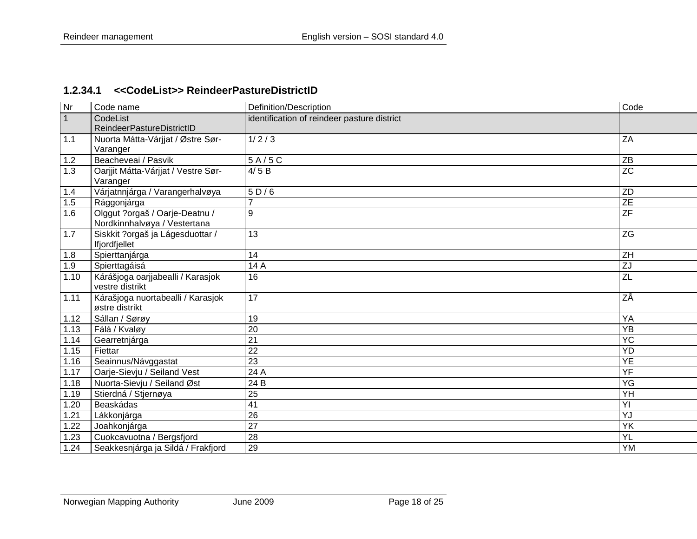## **1.2.34.1 <<CodeList>> ReindeerPastureDistrictID**

<span id="page-17-0"></span>

| Nr           | Code name                                                      | Definition/Description                      | Code             |
|--------------|----------------------------------------------------------------|---------------------------------------------|------------------|
| $\mathbf{1}$ | CodeList<br><b>ReindeerPastureDistrictID</b>                   | identification of reindeer pasture district |                  |
| 1.1          | Nuorta Mátta-Várjjat / Østre Sør-<br>Varanger                  | 1/2/3                                       | ZA               |
| 1.2          | Beacheveai / Pasvik                                            | 5A/5C                                       | ZB               |
| 1.3          | Oarjjit Mátta-Várjjat / Vestre Sør-<br>Varanger                | 4/5B                                        | $\overline{z}$ C |
| 1.4          | Várjatnnjárga / Varangerhalvøya                                | 5D/6                                        | ZD               |
| 1.5          | Rággonjárga                                                    | $\overline{7}$                              | ZE               |
| 1.6          | Olggut ?orgaš / Oarje-Deatnu /<br>Nordkinnhalvøya / Vestertana | 9                                           | $\overline{ZF}$  |
| 1.7          | Siskkit ?orgaš ja Lágesduottar /<br>lfjordfjellet              | 13                                          | ZG               |
| 1.8          | Spierttanjárga                                                 | 14                                          | ZH               |
| 1.9          | Spierttagáisá                                                  | 14 A                                        | $\overline{ZJ}$  |
| 1.10         | Kárášjoga oarjjabealli / Karasjok<br>vestre distrikt           | 16                                          | ZL               |
| 1.11         | Kárašjoga nuortabealli / Karasjok<br>østre distrikt            | 17                                          | ZÅ               |
| 1.12         | Sállan / Sørøy                                                 | 19                                          | YA               |
| 1.13         | Fálá / Kvaløy                                                  | 20                                          | YB               |
| 1.14         | Gearretnjárga                                                  | $\overline{21}$                             | $\overline{Y}C$  |
| 1.15         | Fiettar                                                        | $\overline{22}$                             | YD               |
| 1.16         | Seainnus/Návggastat                                            | $\overline{23}$                             | <b>YE</b>        |
| 1.17         | Oarje-Sievju / Seiland Vest                                    | 24 A                                        | YF               |
| 1.18         | Nuorta-Sievju / Seiland Øst                                    | 24B                                         | YG               |
| 1.19         | Stierdná / Stjernøya                                           | 25                                          | YH               |
| 1.20         | Beaskádas                                                      | 41                                          | YI               |
| 1.21         | Lákkonjárga                                                    | $\overline{26}$                             | YJ               |
| 1.22         | Joahkonjárga                                                   | $\overline{27}$                             | YK               |
| 1.23         | Cuokcavuotna / Bergsfjord                                      | 28                                          | YL               |
| 1.24         | Seakkesnjárga ja Sildá / Frakfjord                             | 29                                          | YM               |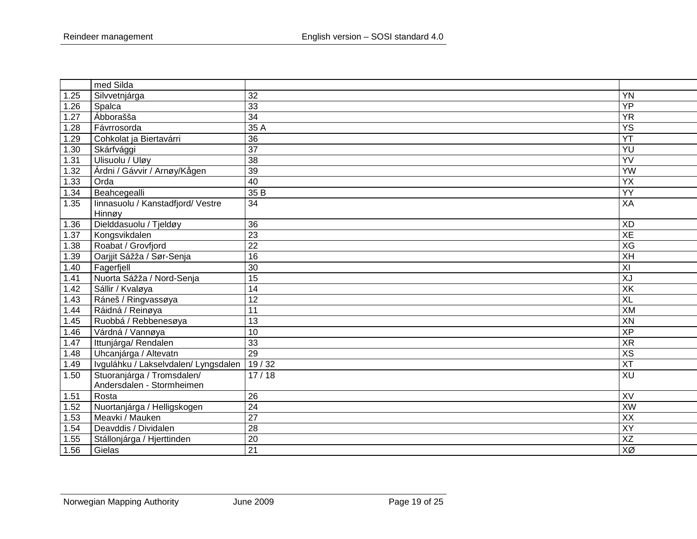|      | med Silda                            |                 |                 |
|------|--------------------------------------|-----------------|-----------------|
| 1.25 | Silvvetnjárga                        | 32              | <b>YN</b>       |
| 1.26 | Spalca                               | 33              | YP              |
| 1.27 | Ábborašša                            | 34              | <b>YR</b>       |
| 1.28 | Fávrrosorda                          | 35 A            | YS              |
| 1.29 | Cohkolat ja Biertavárri              | $\overline{36}$ | $\overline{Y}$  |
| 1.30 | Skárfvággi                           | $\overline{37}$ | YU              |
| 1.31 | Ulisuolu / Uløy                      | $\overline{38}$ | $\overline{YV}$ |
| 1.32 | Árdni / Gávvir / Arnøy/Kågen         | 39              | <b>YW</b>       |
| 1.33 | Orda                                 | 40              | $\overline{YX}$ |
| 1.34 | Beahcegealli                         | 35B             | <b>YY</b>       |
| 1.35 | linnasuolu / Kanstadfjord/ Vestre    | $\overline{34}$ | XA              |
|      | Hinnøy                               |                 |                 |
| 1.36 | Dielddasuolu / Tjeldøy               | 36              | <b>XD</b>       |
| 1.37 | Kongsvikdalen                        | $\overline{23}$ | XE              |
| 1.38 | Roabat / Grovfjord                   | $\overline{22}$ | XG              |
| 1.39 | Oarjjit Sážža / Sør-Senja            | 16              | XH              |
| 1.40 | Fagerfjell                           | 30              | $\overline{X}$  |
| 1.41 | Nuorta Sážža / Nord-Senja            | $\overline{15}$ | XJ              |
| 1.42 | Sállir / Kvaløya                     | 14              | XK              |
| 1.43 | Ráneš / Ringvassøya                  | $\overline{12}$ | $\overline{X}$  |
| 1.44 | Ráidná / Reinøya                     | 11              | XM              |
| 1.45 | Ruobbá / Rebbenesøya                 | 13              | XN              |
| 1.46 | Várdná / Vannøya                     | 10              | $X$ P           |
| 1.47 | Ittunjárga/ Rendalen                 | 33              | X <sub>R</sub>  |
| 1.48 | Uhcanjárga / Altevatn                | $\overline{29}$ | <b>XS</b>       |
| 1.49 | Ivguláhku / Lakselvdalen/ Lyngsdalen | 19/32           | XT              |
| 1.50 | Stuoranjárga / Tromsdalen/           | 17/18           | XU              |
|      | Andersdalen - Stormheimen            |                 |                 |
| 1.51 | Rosta                                | 26              | XV              |
| 1.52 | Nuortanjárga / Helligskogen          | $\overline{24}$ | XW              |
| 1.53 | Meavki / Mauken                      | $\overline{27}$ | $\overline{XX}$ |
| 1.54 | Deavddis / Dividalen                 | 28              | <b>XY</b>       |
| 1.55 | Stállonjárga / Hjerttinden           | 20              | XZ              |
| 1.56 | Gielas                               | 21              | XØ              |
|      |                                      |                 |                 |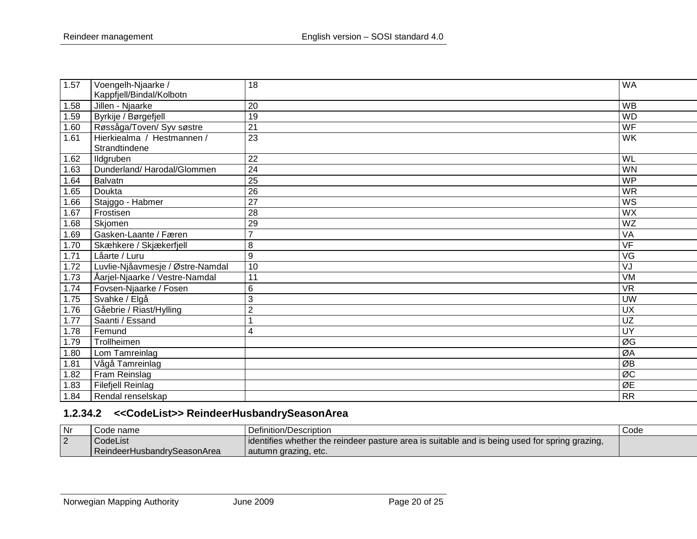| Kappfjell/Bindal/Kolbotn<br>Jillen - Njaarke<br><b>WB</b><br>20<br>$\overline{19}$<br>WD<br>Byrkije / Børgefjell<br>Røssåga/Toven/ Syv søstre<br>21<br>WF<br>Hierkiealma / Hestmannen /<br>23<br>WK<br>Strandtindene<br>22<br>WL<br>Ildgruben<br>Dunderland/Harodal/Glommen<br>$\overline{24}$<br>WN<br>$\overline{25}$<br>WP<br>Balvatn<br>Doukta<br>26<br><b>WR</b><br>$\overline{27}$<br>Stajggo - Habmer<br>WS<br>28<br>WX<br>Frostisen<br>29<br>WZ<br>Skjomen<br>$\overline{7}$<br>Gasken-Laante / Færen<br>VA<br>VF<br>8<br>Skæhkere / Skjækerfjell<br>$\overline{9}$<br>Låarte / Luru<br>VG<br>Luvlie-Njåavmesje / Østre-Namdal<br>VJ<br>10<br>Åarjel-Njaarke / Vestre-Namdal<br>11<br>VM<br><b>VR</b><br>Fovsen-Njaarke / Fosen<br>$\,6$<br>$\overline{3}$<br>Svahke / Elgå<br><b>UW</b><br>Gåebrie / Riast/Hylling<br>$\overline{2}$<br><b>UX</b><br>Saanti / Essand<br>UZ<br>1<br>UY<br>Femund<br>4<br>ØG<br>Trollheimen<br>ØA<br>Lom Tamreinlag<br>$\overline{OB}$<br>Vågå Tamreinlag<br>ØC<br>Fram Reinslag<br>ØE<br><b>Filefjell Reinlag</b> | $1.57$ | Voengelh-Njaarke / | 18 | <b>WA</b> |
|-----------------------------------------------------------------------------------------------------------------------------------------------------------------------------------------------------------------------------------------------------------------------------------------------------------------------------------------------------------------------------------------------------------------------------------------------------------------------------------------------------------------------------------------------------------------------------------------------------------------------------------------------------------------------------------------------------------------------------------------------------------------------------------------------------------------------------------------------------------------------------------------------------------------------------------------------------------------------------------------------------------------------------------------------------------|--------|--------------------|----|-----------|
|                                                                                                                                                                                                                                                                                                                                                                                                                                                                                                                                                                                                                                                                                                                                                                                                                                                                                                                                                                                                                                                           |        |                    |    |           |
|                                                                                                                                                                                                                                                                                                                                                                                                                                                                                                                                                                                                                                                                                                                                                                                                                                                                                                                                                                                                                                                           | 1.58   |                    |    |           |
|                                                                                                                                                                                                                                                                                                                                                                                                                                                                                                                                                                                                                                                                                                                                                                                                                                                                                                                                                                                                                                                           | 1.59   |                    |    |           |
|                                                                                                                                                                                                                                                                                                                                                                                                                                                                                                                                                                                                                                                                                                                                                                                                                                                                                                                                                                                                                                                           | 1.60   |                    |    |           |
|                                                                                                                                                                                                                                                                                                                                                                                                                                                                                                                                                                                                                                                                                                                                                                                                                                                                                                                                                                                                                                                           | 1.61   |                    |    |           |
|                                                                                                                                                                                                                                                                                                                                                                                                                                                                                                                                                                                                                                                                                                                                                                                                                                                                                                                                                                                                                                                           |        |                    |    |           |
|                                                                                                                                                                                                                                                                                                                                                                                                                                                                                                                                                                                                                                                                                                                                                                                                                                                                                                                                                                                                                                                           | 1.62   |                    |    |           |
|                                                                                                                                                                                                                                                                                                                                                                                                                                                                                                                                                                                                                                                                                                                                                                                                                                                                                                                                                                                                                                                           | 1.63   |                    |    |           |
|                                                                                                                                                                                                                                                                                                                                                                                                                                                                                                                                                                                                                                                                                                                                                                                                                                                                                                                                                                                                                                                           | 1.64   |                    |    |           |
|                                                                                                                                                                                                                                                                                                                                                                                                                                                                                                                                                                                                                                                                                                                                                                                                                                                                                                                                                                                                                                                           | 1.65   |                    |    |           |
|                                                                                                                                                                                                                                                                                                                                                                                                                                                                                                                                                                                                                                                                                                                                                                                                                                                                                                                                                                                                                                                           | 1.66   |                    |    |           |
|                                                                                                                                                                                                                                                                                                                                                                                                                                                                                                                                                                                                                                                                                                                                                                                                                                                                                                                                                                                                                                                           | 1.67   |                    |    |           |
|                                                                                                                                                                                                                                                                                                                                                                                                                                                                                                                                                                                                                                                                                                                                                                                                                                                                                                                                                                                                                                                           | 1.68   |                    |    |           |
|                                                                                                                                                                                                                                                                                                                                                                                                                                                                                                                                                                                                                                                                                                                                                                                                                                                                                                                                                                                                                                                           | 1.69   |                    |    |           |
|                                                                                                                                                                                                                                                                                                                                                                                                                                                                                                                                                                                                                                                                                                                                                                                                                                                                                                                                                                                                                                                           | 1.70   |                    |    |           |
|                                                                                                                                                                                                                                                                                                                                                                                                                                                                                                                                                                                                                                                                                                                                                                                                                                                                                                                                                                                                                                                           | 1.71   |                    |    |           |
|                                                                                                                                                                                                                                                                                                                                                                                                                                                                                                                                                                                                                                                                                                                                                                                                                                                                                                                                                                                                                                                           | 1.72   |                    |    |           |
|                                                                                                                                                                                                                                                                                                                                                                                                                                                                                                                                                                                                                                                                                                                                                                                                                                                                                                                                                                                                                                                           | 1.73   |                    |    |           |
|                                                                                                                                                                                                                                                                                                                                                                                                                                                                                                                                                                                                                                                                                                                                                                                                                                                                                                                                                                                                                                                           | 1.74   |                    |    |           |
|                                                                                                                                                                                                                                                                                                                                                                                                                                                                                                                                                                                                                                                                                                                                                                                                                                                                                                                                                                                                                                                           | 1.75   |                    |    |           |
|                                                                                                                                                                                                                                                                                                                                                                                                                                                                                                                                                                                                                                                                                                                                                                                                                                                                                                                                                                                                                                                           | 1.76   |                    |    |           |
|                                                                                                                                                                                                                                                                                                                                                                                                                                                                                                                                                                                                                                                                                                                                                                                                                                                                                                                                                                                                                                                           | 1.77   |                    |    |           |
|                                                                                                                                                                                                                                                                                                                                                                                                                                                                                                                                                                                                                                                                                                                                                                                                                                                                                                                                                                                                                                                           | 1.78   |                    |    |           |
|                                                                                                                                                                                                                                                                                                                                                                                                                                                                                                                                                                                                                                                                                                                                                                                                                                                                                                                                                                                                                                                           | 1.79   |                    |    |           |
|                                                                                                                                                                                                                                                                                                                                                                                                                                                                                                                                                                                                                                                                                                                                                                                                                                                                                                                                                                                                                                                           | 1.80   |                    |    |           |
|                                                                                                                                                                                                                                                                                                                                                                                                                                                                                                                                                                                                                                                                                                                                                                                                                                                                                                                                                                                                                                                           | 1.81   |                    |    |           |
|                                                                                                                                                                                                                                                                                                                                                                                                                                                                                                                                                                                                                                                                                                                                                                                                                                                                                                                                                                                                                                                           | 1.82   |                    |    |           |
|                                                                                                                                                                                                                                                                                                                                                                                                                                                                                                                                                                                                                                                                                                                                                                                                                                                                                                                                                                                                                                                           | 1.83   |                    |    |           |
| <b>RR</b><br>Rendal renselskap                                                                                                                                                                                                                                                                                                                                                                                                                                                                                                                                                                                                                                                                                                                                                                                                                                                                                                                                                                                                                            | 1.84   |                    |    |           |

## **1.2.34.2 <<CodeList>> ReindeerHusbandrySeasonArea**

<span id="page-19-0"></span>

| Nr | Code name                   | Definition/Description                                                                          | Code |
|----|-----------------------------|-------------------------------------------------------------------------------------------------|------|
|    | CodeList                    | didentifies whether the reindeer pasture area is suitable and is being used for spring grazing, |      |
|    | ReindeerHusbandrySeasonArea | I autumn grazing, etc.                                                                          |      |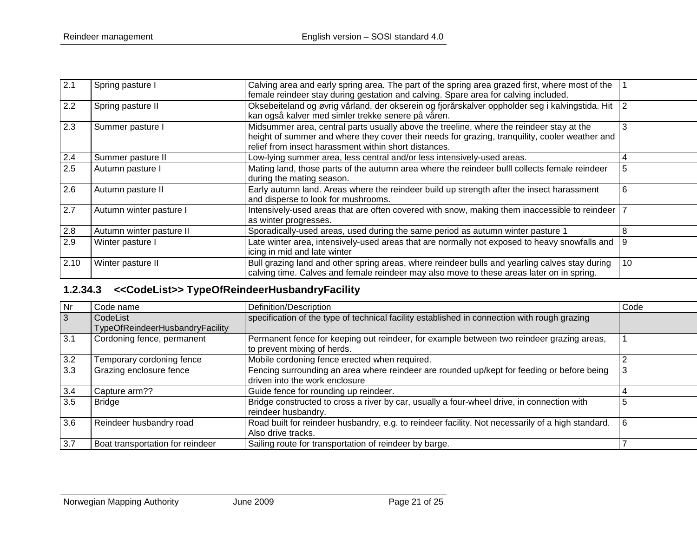| 2.1  | Spring pasture I         | Calving area and early spring area. The part of the spring area grazed first, where most of the<br>female reindeer stay during gestation and calving. Spare area for calving included.                                                              |    |
|------|--------------------------|-----------------------------------------------------------------------------------------------------------------------------------------------------------------------------------------------------------------------------------------------------|----|
| 2.2  | Spring pasture II        | Oksebeiteland og øvrig vårland, der okserein og fjorårskalver oppholder seg i kalvingstida. Hit<br>kan også kalver med simler trekke senere på våren.                                                                                               | 2  |
| 2.3  | Summer pasture I         | Midsummer area, central parts usually above the treeline, where the reindeer stay at the<br>height of summer and where they cover their needs for grazing, tranquility, cooler weather and<br>relief from insect harassment within short distances. |    |
| 2.4  | Summer pasture II        | Low-lying summer area, less central and/or less intensively-used areas.                                                                                                                                                                             |    |
| 2.5  | Autumn pasture I         | Mating land, those parts of the autumn area where the reindeer bulll collects female reindeer<br>during the mating season.                                                                                                                          |    |
| 2.6  | Autumn pasture II        | Early autumn land. Areas where the reindeer build up strength after the insect harassment<br>and disperse to look for mushrooms.                                                                                                                    | 6  |
| 2.7  | Autumn winter pasture I  | Intensively-used areas that are often covered with snow, making them inaccessible to reindeer<br>as winter progresses.                                                                                                                              |    |
| 2.8  | Autumn winter pasture II | Sporadically-used areas, used during the same period as autumn winter pasture 1                                                                                                                                                                     |    |
| 2.9  | Winter pasture I         | Late winter area, intensively-used areas that are normally not exposed to heavy snowfalls and<br>icing in mid and late winter                                                                                                                       |    |
| 2.10 | Winter pasture II        | Bull grazing land and other spring areas, where reindeer bulls and yearling calves stay during<br>calving time. Calves and female reindeer may also move to these areas later on in spring.                                                         | 10 |

# **1.2.34.3 <<CodeList>> TypeOfReindeerHusbandryFacility**

<span id="page-20-0"></span>

| Nr             | Code name                              | Definition/Description                                                                            | Code |
|----------------|----------------------------------------|---------------------------------------------------------------------------------------------------|------|
| $\overline{3}$ | CodeList                               | specification of the type of technical facility established in connection with rough grazing      |      |
|                | <b>TypeOfReindeerHusbandryFacility</b> |                                                                                                   |      |
| 3.1            | Cordoning fence, permanent             | Permanent fence for keeping out reindeer, for example between two reindeer grazing areas,         |      |
|                |                                        | to prevent mixing of herds.                                                                       |      |
| 3.2            | Temporary cordoning fence              | Mobile cordoning fence erected when required.                                                     |      |
| 3.3            | Grazing enclosure fence                | Fencing surrounding an area where reindeer are rounded up/kept for feeding or before being        |      |
|                |                                        | driven into the work enclosure                                                                    |      |
| $3.4$          | Capture arm??                          | Guide fence for rounding up reindeer.                                                             |      |
| 3.5            | <b>Bridge</b>                          | Bridge constructed to cross a river by car, usually a four-wheel drive, in connection with        |      |
|                |                                        | reindeer husbandry.                                                                               |      |
| 3.6            | Reindeer husbandry road                | Road built for reindeer husbandry, e.g. to reindeer facility. Not necessarily of a high standard. | l 6  |
|                |                                        | Also drive tracks.                                                                                |      |
| 3.7            | Boat transportation for reindeer       | Sailing route for transportation of reindeer by barge.                                            |      |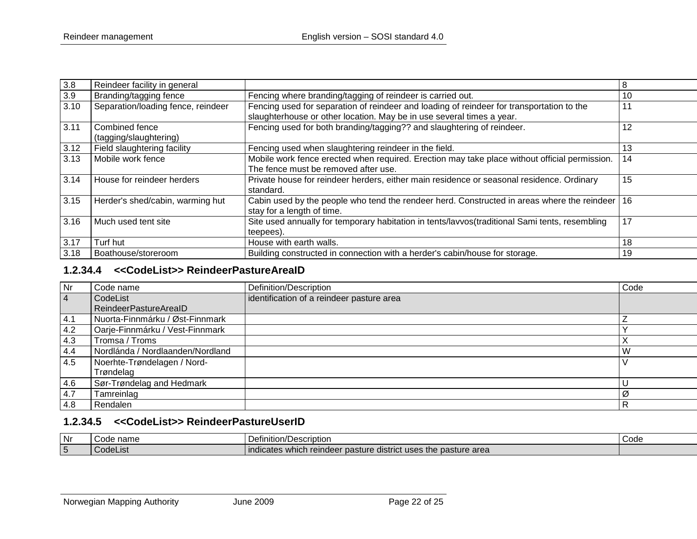| 3.8  | Reindeer facility in general             |                                                                                                                                                                    | 8  |
|------|------------------------------------------|--------------------------------------------------------------------------------------------------------------------------------------------------------------------|----|
| 3.9  | Branding/tagging fence                   | Fencing where branding/tagging of reindeer is carried out.                                                                                                         | 10 |
| 3.10 | Separation/loading fence, reindeer       | Fencing used for separation of reindeer and loading of reindeer for transportation to the<br>slaughterhouse or other location. May be in use several times a year. |    |
| 3.11 | Combined fence<br>(tagging/slaughtering) | Fencing used for both branding/tagging?? and slaughtering of reindeer.                                                                                             | 12 |
| 3.12 | Field slaughtering facility              | Fencing used when slaughtering reindeer in the field.                                                                                                              | 13 |
| 3.13 | Mobile work fence                        | Mobile work fence erected when required. Erection may take place without official permission.<br>The fence must be removed after use.                              | 14 |
| 3.14 | House for reindeer herders               | Private house for reindeer herders, either main residence or seasonal residence. Ordinary<br>standard.                                                             | 15 |
| 3.15 | Herder's shed/cabin, warming hut         | Cabin used by the people who tend the rendeer herd. Constructed in areas where the reindeer 16<br>stay for a length of time.                                       |    |
| 3.16 | Much used tent site                      | Site used annually for temporary habitation in tents/lavvos(traditional Sami tents, resembling<br>teepees).                                                        | 17 |
| 3.17 | Turf hut                                 | House with earth walls.                                                                                                                                            | 18 |
| 3.18 | Boathouse/storeroom                      | Building constructed in connection with a herder's cabin/house for storage.                                                                                        | 19 |

#### **1.2.34.4 <<CodeList>> ReindeerPastureAreaID**

| Nr             | Code name                        | Definition/Description                    | Code |
|----------------|----------------------------------|-------------------------------------------|------|
| $\overline{4}$ | CodeList                         | identification of a reindeer pasture area |      |
|                | ReindeerPastureArealD            |                                           |      |
| 4.1            | Nuorta-Finnmárku / Øst-Finnmark  |                                           |      |
| 4.2            | Oarje-Finnmárku / Vest-Finnmark  |                                           |      |
| 4.3            | Tromsa / Troms                   |                                           |      |
| 4.4            | Nordlánda / Nordlaanden/Nordland |                                           | W    |
| 4.5            | Noerhte-Trøndelagen / Nord-      |                                           |      |
|                | Trøndelag                        |                                           |      |
| 4.6            | Sør-Trøndelag and Hedmark        |                                           |      |
| 4.7            | Tamreinlag                       |                                           | Ø    |
| 4.8            | Rendalen                         |                                           | R    |

#### <span id="page-21-0"></span>**1.2.34.5 <<CodeList>> ReindeerPastureUserID**

<span id="page-21-1"></span>

| Nr                                      | าame<br>~               | /Descriptior<br>Jefinition/l<br>---                                                               | Code |
|-----------------------------------------|-------------------------|---------------------------------------------------------------------------------------------------|------|
| $\overline{\phantom{0}}$<br>$\mathbf b$ | $\overline{\mathbf{u}}$ | $\sim$<br>indicates which<br>nactura<br>pasture district uses the pa<br>n reindeer<br>asiure area |      |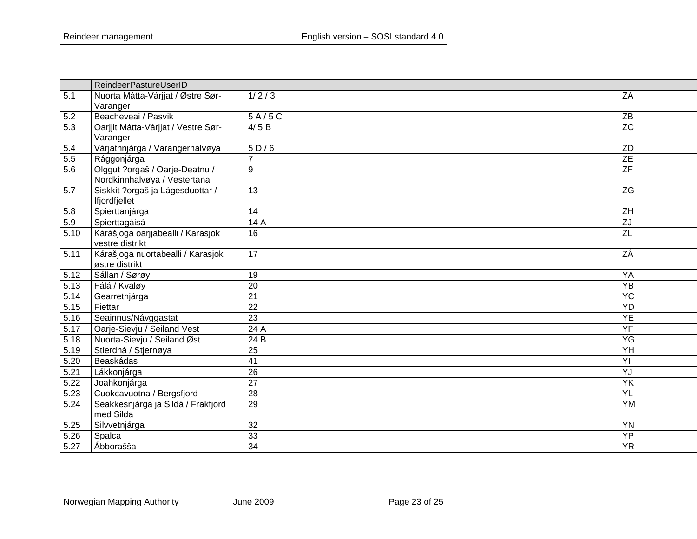|      | ReindeerPastureUserID               |                  |                          |
|------|-------------------------------------|------------------|--------------------------|
| 5.1  | Nuorta Mátta-Várjjat / Østre Sør-   | 1/2/3            | ZA                       |
|      | Varanger                            |                  |                          |
| 5.2  | Beacheveai / Pasvik                 | 5A/5C            | ZB                       |
| 5.3  | Oarjjit Mátta-Várjjat / Vestre Sør- | 4/5B             | $\overline{z}$           |
|      | Varanger                            |                  |                          |
| 5.4  | Várjatnnjárga / Varangerhalvøya     | 5D/6             | ZD                       |
| 5.5  | Rággonjárga                         | $\overline{7}$   | $\overline{ZE}$          |
| 5.6  | Olggut ?orgaš / Oarje-Deatnu /      | 9                | $\overline{\mathsf{ZF}}$ |
|      | Nordkinnhalvøya / Vestertana        |                  |                          |
| 5.7  | Siskkit ?orgaš ja Lágesduottar /    | 13               | ZG                       |
|      | Ifjordfjellet                       |                  |                          |
| 5.8  | Spierttanjárga                      | 14               | $\overline{ZH}$          |
| 5.9  | Spierttagáisá                       | 14 A             | $\overline{ZJ}$          |
| 5.10 | Kárášjoga oarjjabealli / Karasjok   | 16               | ZL                       |
|      | vestre distrikt                     |                  |                          |
| 5.11 | Kárašjoga nuortabealli / Karasjok   | 17               | ΖÅ                       |
|      | østre distrikt                      |                  |                          |
| 5.12 | Sállan / Sørøy                      | 19               | <b>YA</b>                |
| 5.13 | Fálá / Kvaløy                       | 20               | $\overline{Y}$           |
| 5.14 | Gearretnjárga                       | $\overline{21}$  | YC                       |
| 5.15 | Fiettar                             | $\overline{22}$  | YD                       |
| 5.16 | Seainnus/Návggastat                 | 23               | <b>YE</b>                |
| 5.17 | Oarje-Sievju / Seiland Vest         | 24A              | YF                       |
| 5.18 | Nuorta-Sievju / Seiland Øst         | $\overline{24B}$ | $\overline{YG}$          |
| 5.19 | Stierdná / Stjernøya                | $\overline{25}$  | YH                       |
| 5.20 | Beaskádas                           | $\overline{41}$  | ΥI                       |
| 5.21 | Lákkonjárga                         | 26               | YJ                       |
| 5.22 | Joahkonjárga                        | $\overline{27}$  | YK                       |
| 5.23 | Cuokcavuotna / Bergsfjord           | 28               | YL                       |
| 5.24 | Seakkesnjárga ja Sildá / Frakfjord  | 29               | <b>YM</b>                |
|      | med Silda                           |                  |                          |
| 5.25 | Silvvetnjárga                       | 32               | <b>YN</b>                |
| 5.26 | Spalca                              | 33               | YP                       |
| 5.27 | Ábborašša                           | $\overline{34}$  | <b>YR</b>                |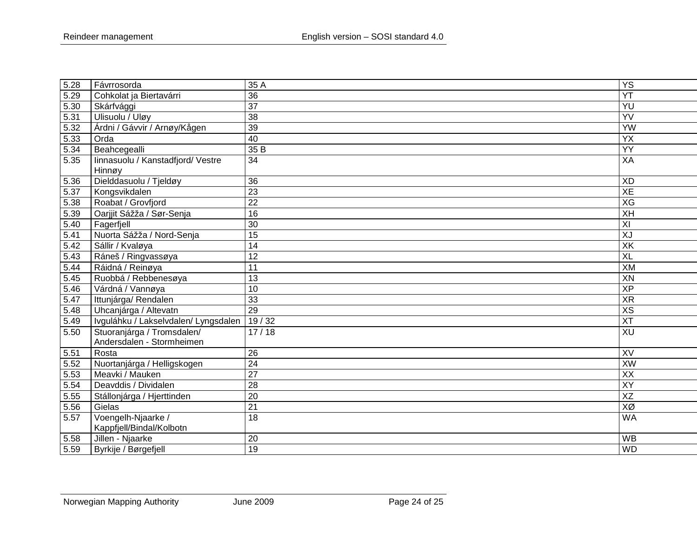| 5.28              | Fávrrosorda                          | 35A             | $\overline{YS}$ |
|-------------------|--------------------------------------|-----------------|-----------------|
| 5.29              | Cohkolat ja Biertavárri              | 36              | <b>YT</b>       |
| 5.30              | Skárfvággi                           | $\overline{37}$ | YU              |
| 5.31              | Ulisuolu / Uløy                      | $\overline{38}$ | $\overline{YV}$ |
| 5.32              | Árdni / Gávvir / Arnøy/Kågen         | 39              | <b>YW</b>       |
| $5.\overline{33}$ | Orda                                 | 40              | $\overline{YX}$ |
| 5.34              | Beahcegealli                         | 35B             | $\overline{YY}$ |
| 5.35              | linnasuolu / Kanstadfjord/ Vestre    | $\overline{34}$ | XA              |
|                   | Hinnøy                               |                 |                 |
| 5.36              | Dielddasuolu / Tjeldøy               | 36              | <b>XD</b>       |
| 5.37              | Kongsvikdalen                        | $\overline{23}$ | XE              |
| 5.38              | Roabat / Grovfjord                   | $\overline{22}$ | XG              |
| 5.39              | Oarjjit Sážža / Sør-Senja            | 16              | XH              |
| 5.40              | Fagerfjell                           | 30              | $\overline{X}$  |
| 5.41              | Nuorta Sážža / Nord-Senja            | 15              | $\overline{XJ}$ |
| 5.42              | Sállir / Kvaløya                     | $\overline{14}$ | XK              |
| 5.43              | Ráneš / Ringvassøya                  | $\overline{12}$ | XL              |
| 5.44              | Ráidná / Reinøya                     | 11              | XM              |
| 5.45              | Ruobbá / Rebbenesøya                 | 13              | XN              |
| 5.46              | Várdná / Vannøya                     | 10              | $X$ P           |
| 5.47              | Ittunjárga/ Rendalen                 | 33              | $X\overline{R}$ |
| 5.48              | Uhcanjárga / Altevatn                | 29              | $\overline{xs}$ |
| 5.49              | Ivguláhku / Lakselvdalen/ Lyngsdalen | 19/32           | $\overline{XT}$ |
| 5.50              | Stuoranjárga / Tromsdalen/           | 17/18           | XU              |
|                   | Andersdalen - Stormheimen            |                 |                 |
| 5.51              | Rosta                                | 26              | XV              |
| 5.52              | Nuortanjárga / Helligskogen          | $\overline{24}$ | XW              |
| 5.53              | Meavki / Mauken                      | $\overline{27}$ | $\overline{XX}$ |
| 5.54              | Deavddis / Dividalen                 | $\overline{28}$ | XY              |
| 5.55              | Stállonjárga / Hjerttinden           | $\overline{20}$ | XZ              |
| 5.56              | Gielas                               | $\overline{21}$ | $X\emptyset$    |
| 5.57              | Voengelh-Njaarke /                   | $\overline{18}$ | <b>WA</b>       |
|                   | Kappfjell/Bindal/Kolbotn             |                 |                 |
| 5.58              | Jillen - Njaarke                     | 20              | <b>WB</b>       |
| 5.59              | Byrkije / Børgefjell                 | 19              | <b>WD</b>       |